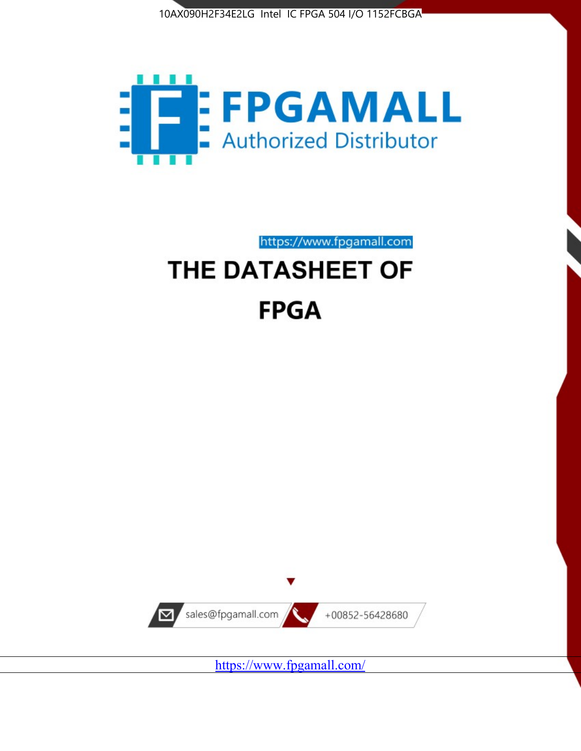



https://www.fpgamall.com

# THE DATASHEET OF **FPGA**



<https://www.fpgamall.com/>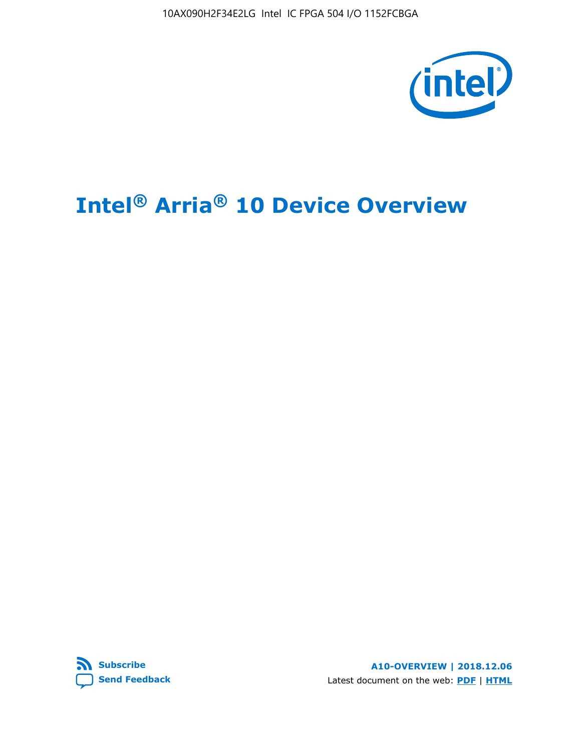10AX090H2F34E2LG Intel IC FPGA 504 I/O 1152FCBGA



# **Intel® Arria® 10 Device Overview**



**A10-OVERVIEW | 2018.12.06** Latest document on the web: **[PDF](https://www.intel.com/content/dam/www/programmable/us/en/pdfs/literature/hb/arria-10/a10_overview.pdf)** | **[HTML](https://www.intel.com/content/www/us/en/programmable/documentation/sam1403480274650.html)**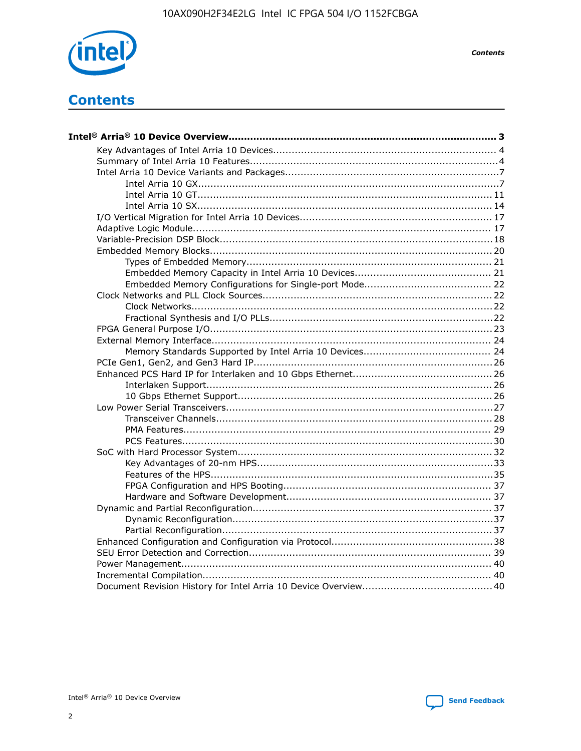

**Contents** 

# **Contents**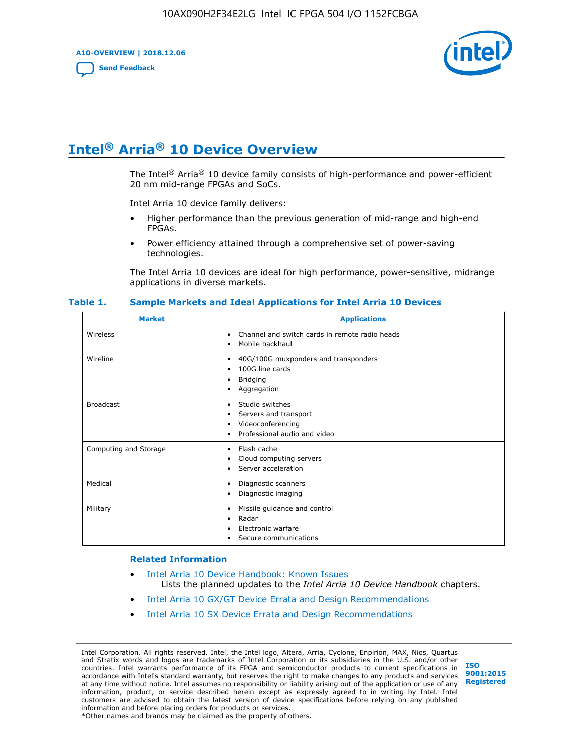**A10-OVERVIEW | 2018.12.06**

**[Send Feedback](mailto:FPGAtechdocfeedback@intel.com?subject=Feedback%20on%20Intel%20Arria%2010%20Device%20Overview%20(A10-OVERVIEW%202018.12.06)&body=We%20appreciate%20your%20feedback.%20In%20your%20comments,%20also%20specify%20the%20page%20number%20or%20paragraph.%20Thank%20you.)**



# **Intel® Arria® 10 Device Overview**

The Intel<sup>®</sup> Arria<sup>®</sup> 10 device family consists of high-performance and power-efficient 20 nm mid-range FPGAs and SoCs.

Intel Arria 10 device family delivers:

- Higher performance than the previous generation of mid-range and high-end FPGAs.
- Power efficiency attained through a comprehensive set of power-saving technologies.

The Intel Arria 10 devices are ideal for high performance, power-sensitive, midrange applications in diverse markets.

| <b>Market</b>         | <b>Applications</b>                                                                                               |
|-----------------------|-------------------------------------------------------------------------------------------------------------------|
| Wireless              | Channel and switch cards in remote radio heads<br>٠<br>Mobile backhaul<br>٠                                       |
| Wireline              | 40G/100G muxponders and transponders<br>٠<br>100G line cards<br>٠<br><b>Bridging</b><br>٠<br>Aggregation<br>٠     |
| <b>Broadcast</b>      | Studio switches<br>٠<br>Servers and transport<br>٠<br>Videoconferencing<br>٠<br>Professional audio and video<br>٠ |
| Computing and Storage | Flash cache<br>٠<br>Cloud computing servers<br>٠<br>Server acceleration<br>٠                                      |
| Medical               | Diagnostic scanners<br>٠<br>Diagnostic imaging<br>٠                                                               |
| Military              | Missile guidance and control<br>٠<br>Radar<br>٠<br>Electronic warfare<br>٠<br>Secure communications<br>٠          |

#### **Table 1. Sample Markets and Ideal Applications for Intel Arria 10 Devices**

#### **Related Information**

- [Intel Arria 10 Device Handbook: Known Issues](http://www.altera.com/support/kdb/solutions/rd07302013_646.html) Lists the planned updates to the *Intel Arria 10 Device Handbook* chapters.
- [Intel Arria 10 GX/GT Device Errata and Design Recommendations](https://www.intel.com/content/www/us/en/programmable/documentation/agz1493851706374.html#yqz1494433888646)
- [Intel Arria 10 SX Device Errata and Design Recommendations](https://www.intel.com/content/www/us/en/programmable/documentation/cru1462832385668.html#cru1462832558642)

Intel Corporation. All rights reserved. Intel, the Intel logo, Altera, Arria, Cyclone, Enpirion, MAX, Nios, Quartus and Stratix words and logos are trademarks of Intel Corporation or its subsidiaries in the U.S. and/or other countries. Intel warrants performance of its FPGA and semiconductor products to current specifications in accordance with Intel's standard warranty, but reserves the right to make changes to any products and services at any time without notice. Intel assumes no responsibility or liability arising out of the application or use of any information, product, or service described herein except as expressly agreed to in writing by Intel. Intel customers are advised to obtain the latest version of device specifications before relying on any published information and before placing orders for products or services. \*Other names and brands may be claimed as the property of others.

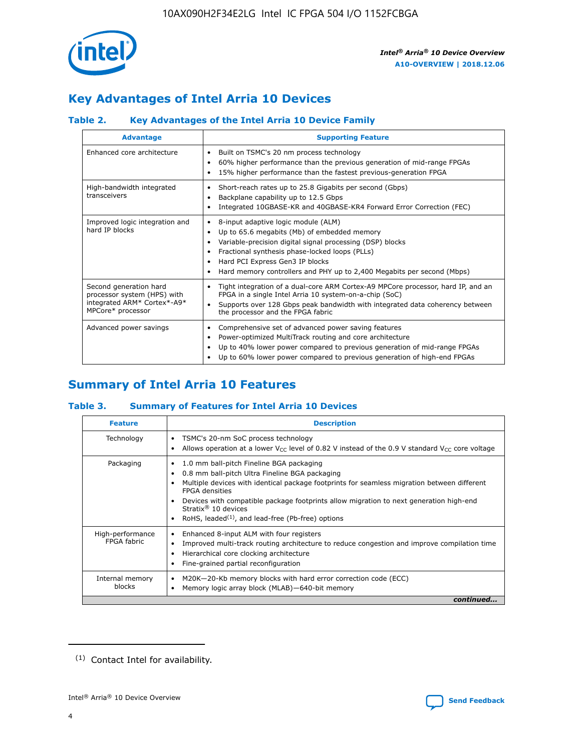

# **Key Advantages of Intel Arria 10 Devices**

# **Table 2. Key Advantages of the Intel Arria 10 Device Family**

| <b>Advantage</b>                                                                                          | <b>Supporting Feature</b>                                                                                                                                                                                                                                                                                                |
|-----------------------------------------------------------------------------------------------------------|--------------------------------------------------------------------------------------------------------------------------------------------------------------------------------------------------------------------------------------------------------------------------------------------------------------------------|
| Enhanced core architecture                                                                                | Built on TSMC's 20 nm process technology<br>٠<br>60% higher performance than the previous generation of mid-range FPGAs<br>٠<br>15% higher performance than the fastest previous-generation FPGA<br>٠                                                                                                                    |
| High-bandwidth integrated<br>transceivers                                                                 | Short-reach rates up to 25.8 Gigabits per second (Gbps)<br>٠<br>Backplane capability up to 12.5 Gbps<br>٠<br>Integrated 10GBASE-KR and 40GBASE-KR4 Forward Error Correction (FEC)<br>٠                                                                                                                                   |
| Improved logic integration and<br>hard IP blocks                                                          | 8-input adaptive logic module (ALM)<br>٠<br>Up to 65.6 megabits (Mb) of embedded memory<br>٠<br>Variable-precision digital signal processing (DSP) blocks<br>Fractional synthesis phase-locked loops (PLLs)<br>Hard PCI Express Gen3 IP blocks<br>Hard memory controllers and PHY up to 2,400 Megabits per second (Mbps) |
| Second generation hard<br>processor system (HPS) with<br>integrated ARM* Cortex*-A9*<br>MPCore* processor | Tight integration of a dual-core ARM Cortex-A9 MPCore processor, hard IP, and an<br>٠<br>FPGA in a single Intel Arria 10 system-on-a-chip (SoC)<br>Supports over 128 Gbps peak bandwidth with integrated data coherency between<br>$\bullet$<br>the processor and the FPGA fabric                                        |
| Advanced power savings                                                                                    | Comprehensive set of advanced power saving features<br>٠<br>Power-optimized MultiTrack routing and core architecture<br>٠<br>Up to 40% lower power compared to previous generation of mid-range FPGAs<br>٠<br>Up to 60% lower power compared to previous generation of high-end FPGAs                                    |

# **Summary of Intel Arria 10 Features**

## **Table 3. Summary of Features for Intel Arria 10 Devices**

| <b>Feature</b>                  | <b>Description</b>                                                                                                                                                                                                                                                                                                                                                                                 |
|---------------------------------|----------------------------------------------------------------------------------------------------------------------------------------------------------------------------------------------------------------------------------------------------------------------------------------------------------------------------------------------------------------------------------------------------|
| Technology                      | TSMC's 20-nm SoC process technology<br>Allows operation at a lower $V_{\text{CC}}$ level of 0.82 V instead of the 0.9 V standard $V_{\text{CC}}$ core voltage                                                                                                                                                                                                                                      |
| Packaging                       | 1.0 mm ball-pitch Fineline BGA packaging<br>٠<br>0.8 mm ball-pitch Ultra Fineline BGA packaging<br>Multiple devices with identical package footprints for seamless migration between different<br><b>FPGA</b> densities<br>Devices with compatible package footprints allow migration to next generation high-end<br>Stratix $@10$ devices<br>RoHS, leaded $(1)$ , and lead-free (Pb-free) options |
| High-performance<br>FPGA fabric | Enhanced 8-input ALM with four registers<br>Improved multi-track routing architecture to reduce congestion and improve compilation time<br>Hierarchical core clocking architecture<br>Fine-grained partial reconfiguration                                                                                                                                                                         |
| Internal memory<br>blocks       | M20K-20-Kb memory blocks with hard error correction code (ECC)<br>Memory logic array block (MLAB)-640-bit memory                                                                                                                                                                                                                                                                                   |
|                                 | continued                                                                                                                                                                                                                                                                                                                                                                                          |



<sup>(1)</sup> Contact Intel for availability.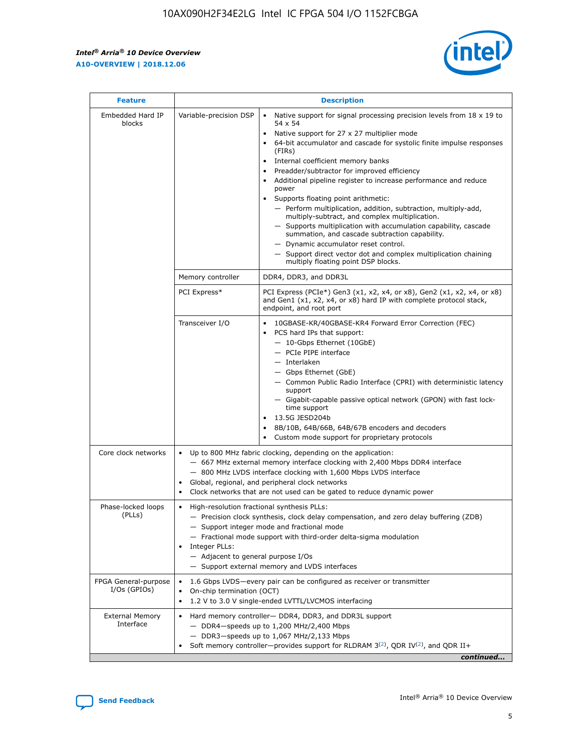r



| <b>Feature</b>                         | <b>Description</b>                                                                                             |                                                                                                                                                                                                                                                                                                                                                                                                                                                                                                                                                                                                                                                                                                                                                                                                                                        |  |  |  |  |  |
|----------------------------------------|----------------------------------------------------------------------------------------------------------------|----------------------------------------------------------------------------------------------------------------------------------------------------------------------------------------------------------------------------------------------------------------------------------------------------------------------------------------------------------------------------------------------------------------------------------------------------------------------------------------------------------------------------------------------------------------------------------------------------------------------------------------------------------------------------------------------------------------------------------------------------------------------------------------------------------------------------------------|--|--|--|--|--|
| Embedded Hard IP<br>blocks             | Variable-precision DSP                                                                                         | Native support for signal processing precision levels from $18 \times 19$ to<br>54 x 54<br>Native support for 27 x 27 multiplier mode<br>64-bit accumulator and cascade for systolic finite impulse responses<br>(FIRs)<br>Internal coefficient memory banks<br>$\bullet$<br>Preadder/subtractor for improved efficiency<br>Additional pipeline register to increase performance and reduce<br>power<br>Supports floating point arithmetic:<br>- Perform multiplication, addition, subtraction, multiply-add,<br>multiply-subtract, and complex multiplication.<br>- Supports multiplication with accumulation capability, cascade<br>summation, and cascade subtraction capability.<br>- Dynamic accumulator reset control.<br>- Support direct vector dot and complex multiplication chaining<br>multiply floating point DSP blocks. |  |  |  |  |  |
|                                        | Memory controller                                                                                              | DDR4, DDR3, and DDR3L                                                                                                                                                                                                                                                                                                                                                                                                                                                                                                                                                                                                                                                                                                                                                                                                                  |  |  |  |  |  |
|                                        | PCI Express*                                                                                                   | PCI Express (PCIe*) Gen3 (x1, x2, x4, or x8), Gen2 (x1, x2, x4, or x8)<br>and Gen1 (x1, x2, x4, or x8) hard IP with complete protocol stack,<br>endpoint, and root port                                                                                                                                                                                                                                                                                                                                                                                                                                                                                                                                                                                                                                                                |  |  |  |  |  |
|                                        | Transceiver I/O                                                                                                | 10GBASE-KR/40GBASE-KR4 Forward Error Correction (FEC)<br>PCS hard IPs that support:<br>$\bullet$<br>- 10-Gbps Ethernet (10GbE)<br>- PCIe PIPE interface<br>$-$ Interlaken<br>- Gbps Ethernet (GbE)<br>- Common Public Radio Interface (CPRI) with deterministic latency<br>support<br>- Gigabit-capable passive optical network (GPON) with fast lock-<br>time support<br>13.5G JESD204b<br>$\bullet$<br>8B/10B, 64B/66B, 64B/67B encoders and decoders<br>Custom mode support for proprietary protocols                                                                                                                                                                                                                                                                                                                               |  |  |  |  |  |
| Core clock networks                    | $\bullet$<br>$\bullet$                                                                                         | Up to 800 MHz fabric clocking, depending on the application:<br>- 667 MHz external memory interface clocking with 2,400 Mbps DDR4 interface<br>- 800 MHz LVDS interface clocking with 1,600 Mbps LVDS interface<br>Global, regional, and peripheral clock networks<br>Clock networks that are not used can be gated to reduce dynamic power                                                                                                                                                                                                                                                                                                                                                                                                                                                                                            |  |  |  |  |  |
| Phase-locked loops<br>(PLLs)           | High-resolution fractional synthesis PLLs:<br>$\bullet$<br>Integer PLLs:<br>- Adjacent to general purpose I/Os | - Precision clock synthesis, clock delay compensation, and zero delay buffering (ZDB)<br>- Support integer mode and fractional mode<br>- Fractional mode support with third-order delta-sigma modulation<br>- Support external memory and LVDS interfaces                                                                                                                                                                                                                                                                                                                                                                                                                                                                                                                                                                              |  |  |  |  |  |
| FPGA General-purpose<br>$I/Os$ (GPIOs) | On-chip termination (OCT)                                                                                      | 1.6 Gbps LVDS-every pair can be configured as receiver or transmitter<br>1.2 V to 3.0 V single-ended LVTTL/LVCMOS interfacing                                                                                                                                                                                                                                                                                                                                                                                                                                                                                                                                                                                                                                                                                                          |  |  |  |  |  |
| <b>External Memory</b><br>Interface    |                                                                                                                | Hard memory controller- DDR4, DDR3, and DDR3L support<br>$-$ DDR4 $-$ speeds up to 1,200 MHz/2,400 Mbps<br>- DDR3-speeds up to 1,067 MHz/2,133 Mbps<br>Soft memory controller—provides support for RLDRAM $3^{(2)}$ , QDR IV $^{(2)}$ , and QDR II+<br>continued                                                                                                                                                                                                                                                                                                                                                                                                                                                                                                                                                                       |  |  |  |  |  |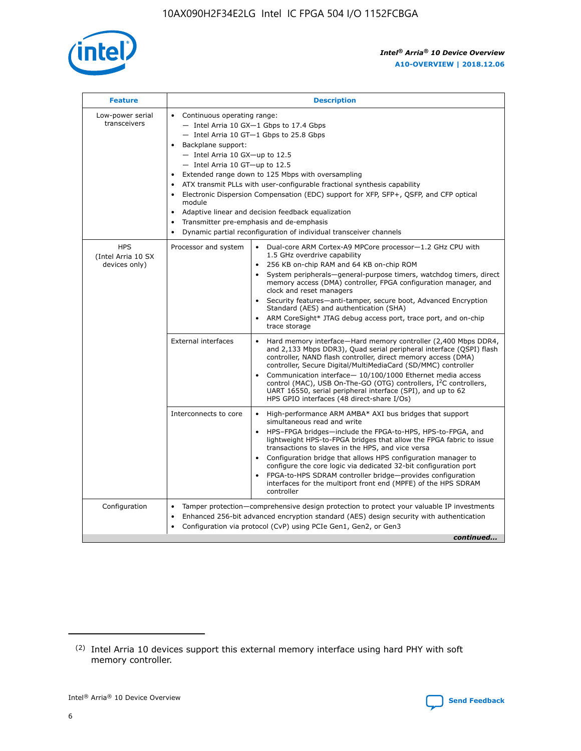

| <b>Feature</b>                                    | <b>Description</b>                                                                                                                                                                                                                                                                                                                                                                                                                                                                                                                                                                                                                             |  |  |  |  |  |  |  |  |
|---------------------------------------------------|------------------------------------------------------------------------------------------------------------------------------------------------------------------------------------------------------------------------------------------------------------------------------------------------------------------------------------------------------------------------------------------------------------------------------------------------------------------------------------------------------------------------------------------------------------------------------------------------------------------------------------------------|--|--|--|--|--|--|--|--|
| Low-power serial<br>transceivers                  | • Continuous operating range:<br>- Intel Arria 10 GX-1 Gbps to 17.4 Gbps<br>- Intel Arria 10 GT-1 Gbps to 25.8 Gbps<br>Backplane support:<br>$-$ Intel Arria 10 GX-up to 12.5<br>$-$ Intel Arria 10 GT-up to 12.5<br>Extended range down to 125 Mbps with oversampling<br>ATX transmit PLLs with user-configurable fractional synthesis capability<br>• Electronic Dispersion Compensation (EDC) support for XFP, SFP+, QSFP, and CFP optical<br>module<br>• Adaptive linear and decision feedback equalization<br>Transmitter pre-emphasis and de-emphasis<br>$\bullet$<br>Dynamic partial reconfiguration of individual transceiver channels |  |  |  |  |  |  |  |  |
| <b>HPS</b><br>(Intel Arria 10 SX<br>devices only) | Processor and system<br>Dual-core ARM Cortex-A9 MPCore processor-1.2 GHz CPU with<br>$\bullet$<br>1.5 GHz overdrive capability<br>256 KB on-chip RAM and 64 KB on-chip ROM<br>$\bullet$<br>System peripherals-general-purpose timers, watchdog timers, direct<br>memory access (DMA) controller, FPGA configuration manager, and<br>clock and reset managers<br>• Security features—anti-tamper, secure boot, Advanced Encryption<br>Standard (AES) and authentication (SHA)<br>ARM CoreSight* JTAG debug access port, trace port, and on-chip<br>trace storage                                                                                |  |  |  |  |  |  |  |  |
|                                                   | <b>External interfaces</b><br>Hard memory interface—Hard memory controller (2,400 Mbps DDR4,<br>$\bullet$<br>and 2,133 Mbps DDR3), Quad serial peripheral interface (QSPI) flash<br>controller, NAND flash controller, direct memory access (DMA)<br>controller, Secure Digital/MultiMediaCard (SD/MMC) controller<br>Communication interface-10/100/1000 Ethernet media access<br>control (MAC), USB On-The-GO (OTG) controllers, I <sup>2</sup> C controllers,<br>UART 16550, serial peripheral interface (SPI), and up to 62<br>HPS GPIO interfaces (48 direct-share I/Os)                                                                  |  |  |  |  |  |  |  |  |
|                                                   | High-performance ARM AMBA* AXI bus bridges that support<br>Interconnects to core<br>$\bullet$<br>simultaneous read and write<br>HPS-FPGA bridges—include the FPGA-to-HPS, HPS-to-FPGA, and<br>$\bullet$<br>lightweight HPS-to-FPGA bridges that allow the FPGA fabric to issue<br>transactions to slaves in the HPS, and vice versa<br>Configuration bridge that allows HPS configuration manager to<br>configure the core logic via dedicated 32-bit configuration port<br>FPGA-to-HPS SDRAM controller bridge-provides configuration<br>interfaces for the multiport front end (MPFE) of the HPS SDRAM<br>controller                         |  |  |  |  |  |  |  |  |
| Configuration                                     | Tamper protection—comprehensive design protection to protect your valuable IP investments<br>Enhanced 256-bit advanced encryption standard (AES) design security with authentication<br>$\bullet$<br>Configuration via protocol (CvP) using PCIe Gen1, Gen2, or Gen3<br>continued                                                                                                                                                                                                                                                                                                                                                              |  |  |  |  |  |  |  |  |

<sup>(2)</sup> Intel Arria 10 devices support this external memory interface using hard PHY with soft memory controller.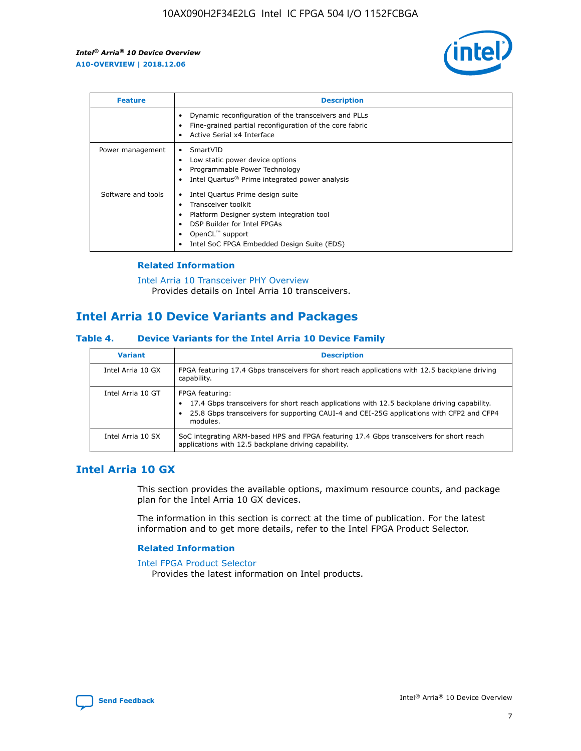

| <b>Feature</b>     | <b>Description</b>                                                                                                                                                                                               |
|--------------------|------------------------------------------------------------------------------------------------------------------------------------------------------------------------------------------------------------------|
|                    | Dynamic reconfiguration of the transceivers and PLLs<br>Fine-grained partial reconfiguration of the core fabric<br>Active Serial x4 Interface<br>$\bullet$                                                       |
| Power management   | SmartVID<br>Low static power device options<br>Programmable Power Technology<br>Intel Quartus <sup>®</sup> Prime integrated power analysis                                                                       |
| Software and tools | Intel Quartus Prime design suite<br>Transceiver toolkit<br>Platform Designer system integration tool<br>DSP Builder for Intel FPGAs<br>OpenCL <sup>™</sup> support<br>Intel SoC FPGA Embedded Design Suite (EDS) |

## **Related Information**

[Intel Arria 10 Transceiver PHY Overview](https://www.intel.com/content/www/us/en/programmable/documentation/nik1398707230472.html#nik1398706768037) Provides details on Intel Arria 10 transceivers.

# **Intel Arria 10 Device Variants and Packages**

#### **Table 4. Device Variants for the Intel Arria 10 Device Family**

| <b>Variant</b>    | <b>Description</b>                                                                                                                                                                                                     |
|-------------------|------------------------------------------------------------------------------------------------------------------------------------------------------------------------------------------------------------------------|
| Intel Arria 10 GX | FPGA featuring 17.4 Gbps transceivers for short reach applications with 12.5 backplane driving<br>capability.                                                                                                          |
| Intel Arria 10 GT | FPGA featuring:<br>17.4 Gbps transceivers for short reach applications with 12.5 backplane driving capability.<br>25.8 Gbps transceivers for supporting CAUI-4 and CEI-25G applications with CFP2 and CFP4<br>modules. |
| Intel Arria 10 SX | SoC integrating ARM-based HPS and FPGA featuring 17.4 Gbps transceivers for short reach<br>applications with 12.5 backplane driving capability.                                                                        |

# **Intel Arria 10 GX**

This section provides the available options, maximum resource counts, and package plan for the Intel Arria 10 GX devices.

The information in this section is correct at the time of publication. For the latest information and to get more details, refer to the Intel FPGA Product Selector.

#### **Related Information**

#### [Intel FPGA Product Selector](http://www.altera.com/products/selector/psg-selector.html) Provides the latest information on Intel products.

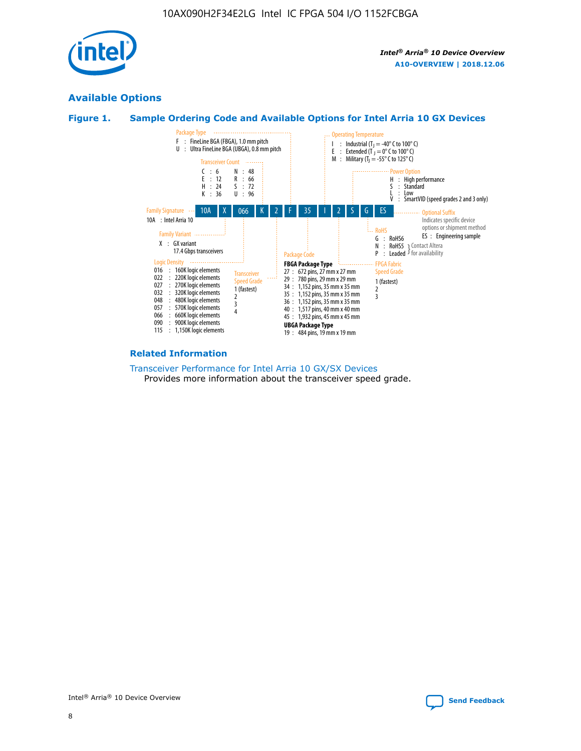

# **Available Options**





#### **Related Information**

[Transceiver Performance for Intel Arria 10 GX/SX Devices](https://www.intel.com/content/www/us/en/programmable/documentation/mcn1413182292568.html#mcn1413213965502) Provides more information about the transceiver speed grade.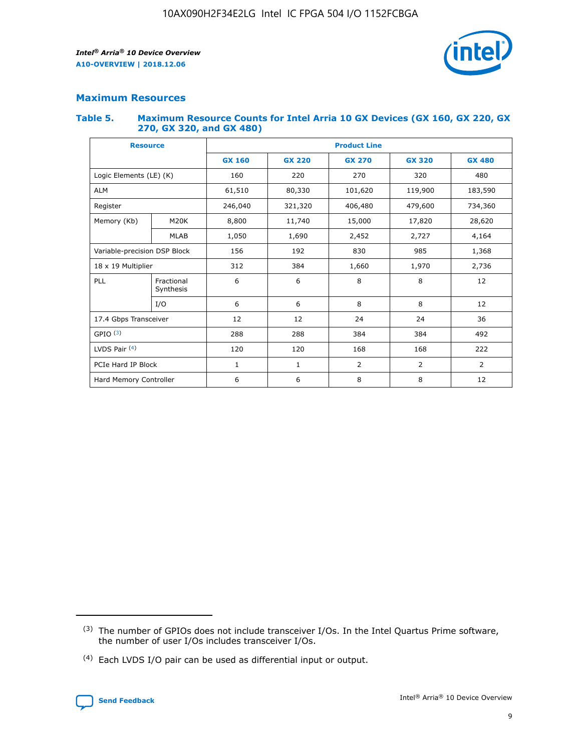

# **Maximum Resources**

#### **Table 5. Maximum Resource Counts for Intel Arria 10 GX Devices (GX 160, GX 220, GX 270, GX 320, and GX 480)**

| <b>Resource</b>              |                         | <b>Product Line</b> |                                                 |                |                |                |  |  |
|------------------------------|-------------------------|---------------------|-------------------------------------------------|----------------|----------------|----------------|--|--|
|                              |                         | <b>GX 160</b>       | <b>GX 220</b><br><b>GX 270</b><br><b>GX 320</b> |                |                | <b>GX 480</b>  |  |  |
| Logic Elements (LE) (K)      |                         | 160                 | 220                                             | 270            | 320            | 480            |  |  |
| <b>ALM</b>                   |                         | 61,510              | 80,330                                          | 101,620        | 119,900        | 183,590        |  |  |
| Register                     |                         | 246,040             | 406,480<br>321,320                              |                | 479,600        | 734,360        |  |  |
| Memory (Kb)                  | M <sub>20</sub> K       | 8,800               | 11,740                                          | 15,000         | 17,820         | 28,620         |  |  |
|                              | <b>MLAB</b>             | 1,050               | 1,690                                           | 2,452          | 2,727          | 4,164          |  |  |
| Variable-precision DSP Block |                         | 156                 | 192                                             | 830            | 985            | 1,368          |  |  |
| 18 x 19 Multiplier           |                         | 312                 | 384                                             | 1,970<br>1,660 |                | 2,736          |  |  |
| PLL                          | Fractional<br>Synthesis | 6                   | 6                                               | 8              | 8              | 12             |  |  |
|                              | I/O                     | 6                   | 6                                               | 8              | 8              | 12             |  |  |
| 17.4 Gbps Transceiver        |                         | 12                  | 12                                              | 24             | 24             | 36             |  |  |
| GPIO <sup>(3)</sup>          |                         | 288                 | 288                                             | 384<br>384     |                | 492            |  |  |
| LVDS Pair $(4)$              |                         | 120                 | 120                                             | 168            | 168            | 222            |  |  |
| PCIe Hard IP Block           |                         | 1                   | 1                                               | 2              | $\overline{2}$ | $\overline{2}$ |  |  |
| Hard Memory Controller       |                         | 6                   | 6                                               | 8              | 8              | 12             |  |  |

<sup>(4)</sup> Each LVDS I/O pair can be used as differential input or output.



<sup>(3)</sup> The number of GPIOs does not include transceiver I/Os. In the Intel Quartus Prime software, the number of user I/Os includes transceiver I/Os.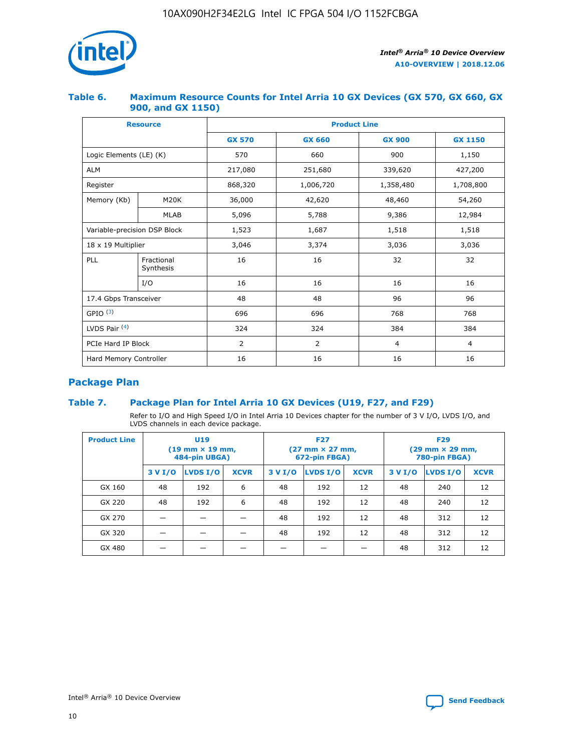

## **Table 6. Maximum Resource Counts for Intel Arria 10 GX Devices (GX 570, GX 660, GX 900, and GX 1150)**

|                              | <b>Resource</b>         | <b>Product Line</b> |                |                |                |  |  |  |
|------------------------------|-------------------------|---------------------|----------------|----------------|----------------|--|--|--|
|                              |                         | <b>GX 570</b>       | <b>GX 660</b>  | <b>GX 900</b>  | <b>GX 1150</b> |  |  |  |
| Logic Elements (LE) (K)      |                         | 570                 | 660            | 900            | 1,150          |  |  |  |
| <b>ALM</b>                   |                         | 217,080             | 251,680        | 339,620        | 427,200        |  |  |  |
| Register                     |                         | 868,320             | 1,006,720      |                | 1,708,800      |  |  |  |
| Memory (Kb)                  | <b>M20K</b>             | 36,000              | 42,620         | 48,460         | 54,260         |  |  |  |
|                              | <b>MLAB</b>             | 5,096               | 5,788          | 9,386          | 12,984         |  |  |  |
| Variable-precision DSP Block |                         | 1,523               | 1,687          | 1,518          | 1,518          |  |  |  |
| $18 \times 19$ Multiplier    |                         | 3,046               | 3,374          | 3,036          | 3,036          |  |  |  |
| PLL                          | Fractional<br>Synthesis | 16                  | 16             | 32             | 32             |  |  |  |
|                              | I/O                     | 16                  | 16             | 16             | 16             |  |  |  |
| 17.4 Gbps Transceiver        |                         | 48                  | 48<br>96       |                | 96             |  |  |  |
| GPIO <sup>(3)</sup>          |                         | 696                 | 696            | 768            | 768            |  |  |  |
| LVDS Pair $(4)$              |                         | 324                 | 324            | 384            | 384            |  |  |  |
| PCIe Hard IP Block           |                         | 2                   | $\overline{2}$ | $\overline{4}$ | $\overline{4}$ |  |  |  |
| Hard Memory Controller       |                         | 16                  | 16             | 16             | 16             |  |  |  |

# **Package Plan**

# **Table 7. Package Plan for Intel Arria 10 GX Devices (U19, F27, and F29)**

Refer to I/O and High Speed I/O in Intel Arria 10 Devices chapter for the number of 3 V I/O, LVDS I/O, and LVDS channels in each device package.

| <b>Product Line</b> | U <sub>19</sub><br>$(19 \text{ mm} \times 19 \text{ mm})$<br>484-pin UBGA) |          |             |         | <b>F27</b><br>(27 mm × 27 mm,<br>672-pin FBGA) |             | <b>F29</b><br>(29 mm × 29 mm,<br>780-pin FBGA) |          |             |  |
|---------------------|----------------------------------------------------------------------------|----------|-------------|---------|------------------------------------------------|-------------|------------------------------------------------|----------|-------------|--|
|                     | 3 V I/O                                                                    | LVDS I/O | <b>XCVR</b> | 3 V I/O | LVDS I/O                                       | <b>XCVR</b> | 3 V I/O                                        | LVDS I/O | <b>XCVR</b> |  |
| GX 160              | 48                                                                         | 192      | 6           | 48      | 192                                            | 12          | 48                                             | 240      | 12          |  |
| GX 220              | 48                                                                         | 192      | 6           | 48      | 192                                            | 12          | 48                                             | 240      | 12          |  |
| GX 270              |                                                                            |          |             | 48      | 192                                            | 12          | 48                                             | 312      | 12          |  |
| GX 320              |                                                                            |          |             | 48      | 192                                            | 12          | 48                                             | 312      | 12          |  |
| GX 480              |                                                                            |          |             |         |                                                |             | 48                                             | 312      | 12          |  |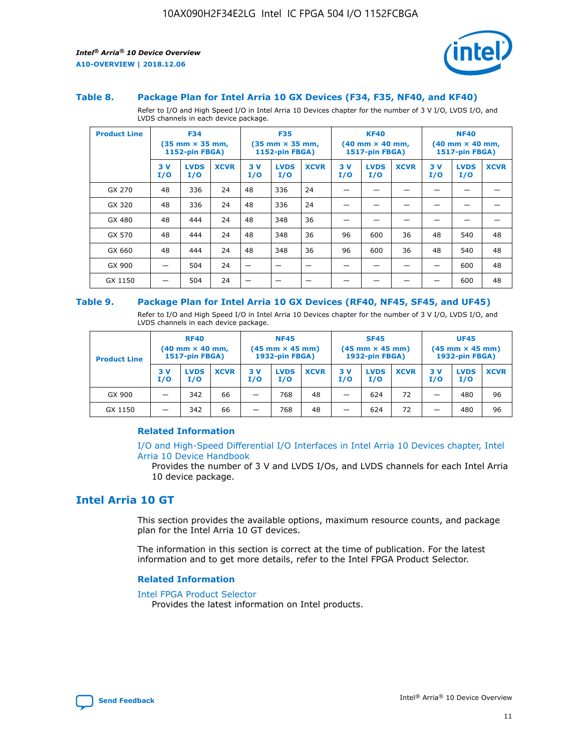

#### **Table 8. Package Plan for Intel Arria 10 GX Devices (F34, F35, NF40, and KF40)**

Refer to I/O and High Speed I/O in Intel Arria 10 Devices chapter for the number of 3 V I/O, LVDS I/O, and LVDS channels in each device package.

| <b>Product Line</b> | <b>F34</b><br>$(35 \text{ mm} \times 35 \text{ mm})$<br>1152-pin FBGA) |                    | <b>F35</b><br>$(35 \text{ mm} \times 35 \text{ mm})$<br><b>1152-pin FBGA)</b> |           | <b>KF40</b><br>$(40$ mm $\times$ 40 mm,<br>1517-pin FBGA) |             |           | <b>NF40</b><br>$(40$ mm $\times$ 40 mm,<br><b>1517-pin FBGA)</b> |             |            |                    |             |
|---------------------|------------------------------------------------------------------------|--------------------|-------------------------------------------------------------------------------|-----------|-----------------------------------------------------------|-------------|-----------|------------------------------------------------------------------|-------------|------------|--------------------|-------------|
|                     | 3V<br>I/O                                                              | <b>LVDS</b><br>I/O | <b>XCVR</b>                                                                   | 3V<br>I/O | <b>LVDS</b><br>I/O                                        | <b>XCVR</b> | 3V<br>I/O | <b>LVDS</b><br>I/O                                               | <b>XCVR</b> | 3 V<br>I/O | <b>LVDS</b><br>I/O | <b>XCVR</b> |
| GX 270              | 48                                                                     | 336                | 24                                                                            | 48        | 336                                                       | 24          |           |                                                                  |             |            |                    |             |
| GX 320              | 48                                                                     | 336                | 24                                                                            | 48        | 336                                                       | 24          |           |                                                                  |             |            |                    |             |
| GX 480              | 48                                                                     | 444                | 24                                                                            | 48        | 348                                                       | 36          |           |                                                                  |             |            |                    |             |
| GX 570              | 48                                                                     | 444                | 24                                                                            | 48        | 348                                                       | 36          | 96        | 600                                                              | 36          | 48         | 540                | 48          |
| GX 660              | 48                                                                     | 444                | 24                                                                            | 48        | 348                                                       | 36          | 96        | 600                                                              | 36          | 48         | 540                | 48          |
| GX 900              |                                                                        | 504                | 24                                                                            | -         |                                                           |             |           |                                                                  |             |            | 600                | 48          |
| GX 1150             |                                                                        | 504                | 24                                                                            |           |                                                           |             |           |                                                                  |             |            | 600                | 48          |

#### **Table 9. Package Plan for Intel Arria 10 GX Devices (RF40, NF45, SF45, and UF45)**

Refer to I/O and High Speed I/O in Intel Arria 10 Devices chapter for the number of 3 V I/O, LVDS I/O, and LVDS channels in each device package.

| <b>Product Line</b> | <b>RF40</b><br>$(40$ mm $\times$ 40 mm,<br>1517-pin FBGA) |                    |             | <b>NF45</b><br>$(45 \text{ mm} \times 45 \text{ mm})$<br><b>1932-pin FBGA)</b> |                    |             | <b>SF45</b><br>$(45 \text{ mm} \times 45 \text{ mm})$<br><b>1932-pin FBGA)</b> |                    |             | <b>UF45</b><br>$(45 \text{ mm} \times 45 \text{ mm})$<br><b>1932-pin FBGA)</b> |                    |             |
|---------------------|-----------------------------------------------------------|--------------------|-------------|--------------------------------------------------------------------------------|--------------------|-------------|--------------------------------------------------------------------------------|--------------------|-------------|--------------------------------------------------------------------------------|--------------------|-------------|
|                     | 3V<br>I/O                                                 | <b>LVDS</b><br>I/O | <b>XCVR</b> | 3 V<br>I/O                                                                     | <b>LVDS</b><br>I/O | <b>XCVR</b> | 3 V<br>I/O                                                                     | <b>LVDS</b><br>I/O | <b>XCVR</b> | 3V<br>I/O                                                                      | <b>LVDS</b><br>I/O | <b>XCVR</b> |
| GX 900              |                                                           | 342                | 66          | _                                                                              | 768                | 48          |                                                                                | 624                | 72          |                                                                                | 480                | 96          |
| GX 1150             |                                                           | 342                | 66          | _                                                                              | 768                | 48          |                                                                                | 624                | 72          |                                                                                | 480                | 96          |

#### **Related Information**

[I/O and High-Speed Differential I/O Interfaces in Intel Arria 10 Devices chapter, Intel](https://www.intel.com/content/www/us/en/programmable/documentation/sam1403482614086.html#sam1403482030321) [Arria 10 Device Handbook](https://www.intel.com/content/www/us/en/programmable/documentation/sam1403482614086.html#sam1403482030321)

Provides the number of 3 V and LVDS I/Os, and LVDS channels for each Intel Arria 10 device package.

# **Intel Arria 10 GT**

This section provides the available options, maximum resource counts, and package plan for the Intel Arria 10 GT devices.

The information in this section is correct at the time of publication. For the latest information and to get more details, refer to the Intel FPGA Product Selector.

#### **Related Information**

#### [Intel FPGA Product Selector](http://www.altera.com/products/selector/psg-selector.html)

Provides the latest information on Intel products.

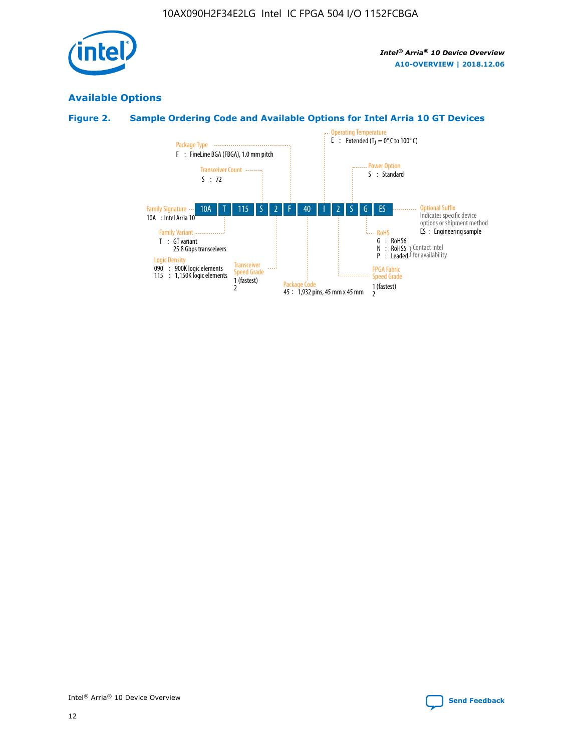

# **Available Options**

# **Figure 2. Sample Ordering Code and Available Options for Intel Arria 10 GT Devices**

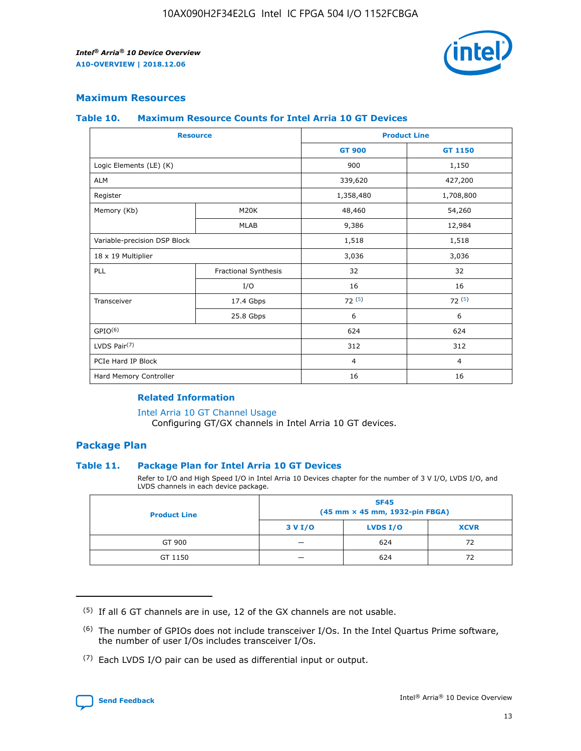

## **Maximum Resources**

#### **Table 10. Maximum Resource Counts for Intel Arria 10 GT Devices**

| <b>Resource</b>              |                      |                | <b>Product Line</b> |
|------------------------------|----------------------|----------------|---------------------|
|                              |                      | <b>GT 900</b>  | GT 1150             |
| Logic Elements (LE) (K)      |                      | 900            | 1,150               |
| <b>ALM</b>                   |                      | 339,620        | 427,200             |
| Register                     |                      | 1,358,480      | 1,708,800           |
| Memory (Kb)                  | M <sub>20</sub> K    |                | 54,260              |
|                              | <b>MLAB</b>          | 9,386          | 12,984              |
| Variable-precision DSP Block |                      | 1,518          | 1,518               |
| 18 x 19 Multiplier           |                      | 3,036          | 3,036               |
| PLL                          | Fractional Synthesis | 32             | 32                  |
|                              | I/O                  | 16             | 16                  |
| Transceiver                  | 17.4 Gbps            | 72(5)          | 72(5)               |
|                              | 25.8 Gbps            | 6              | 6                   |
| GPIO <sup>(6)</sup>          |                      | 624            | 624                 |
| LVDS Pair $(7)$              |                      | 312            | 312                 |
| PCIe Hard IP Block           |                      | $\overline{4}$ | $\overline{4}$      |
| Hard Memory Controller       |                      | 16             | 16                  |

#### **Related Information**

#### [Intel Arria 10 GT Channel Usage](https://www.intel.com/content/www/us/en/programmable/documentation/nik1398707230472.html#nik1398707008178)

Configuring GT/GX channels in Intel Arria 10 GT devices.

## **Package Plan**

#### **Table 11. Package Plan for Intel Arria 10 GT Devices**

Refer to I/O and High Speed I/O in Intel Arria 10 Devices chapter for the number of 3 V I/O, LVDS I/O, and LVDS channels in each device package.

| <b>Product Line</b> | <b>SF45</b><br>(45 mm × 45 mm, 1932-pin FBGA) |                 |             |  |  |  |  |
|---------------------|-----------------------------------------------|-----------------|-------------|--|--|--|--|
|                     | 3 V I/O                                       | <b>LVDS I/O</b> | <b>XCVR</b> |  |  |  |  |
| GT 900              |                                               | 624             | 72          |  |  |  |  |
| GT 1150             |                                               | 624             |             |  |  |  |  |

<sup>(7)</sup> Each LVDS I/O pair can be used as differential input or output.



 $(5)$  If all 6 GT channels are in use, 12 of the GX channels are not usable.

<sup>(6)</sup> The number of GPIOs does not include transceiver I/Os. In the Intel Quartus Prime software, the number of user I/Os includes transceiver I/Os.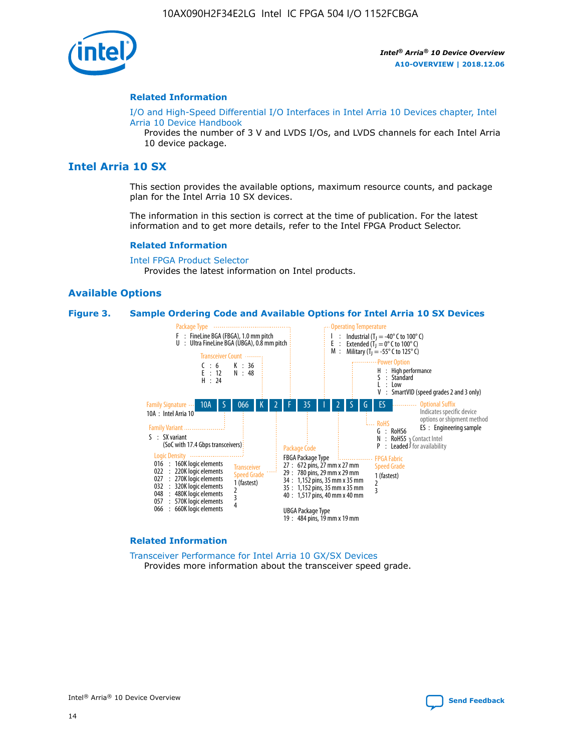

#### **Related Information**

[I/O and High-Speed Differential I/O Interfaces in Intel Arria 10 Devices chapter, Intel](https://www.intel.com/content/www/us/en/programmable/documentation/sam1403482614086.html#sam1403482030321) [Arria 10 Device Handbook](https://www.intel.com/content/www/us/en/programmable/documentation/sam1403482614086.html#sam1403482030321)

Provides the number of 3 V and LVDS I/Os, and LVDS channels for each Intel Arria 10 device package.

# **Intel Arria 10 SX**

This section provides the available options, maximum resource counts, and package plan for the Intel Arria 10 SX devices.

The information in this section is correct at the time of publication. For the latest information and to get more details, refer to the Intel FPGA Product Selector.

#### **Related Information**

[Intel FPGA Product Selector](http://www.altera.com/products/selector/psg-selector.html) Provides the latest information on Intel products.

#### **Available Options**

#### **Figure 3. Sample Ordering Code and Available Options for Intel Arria 10 SX Devices**



#### **Related Information**

[Transceiver Performance for Intel Arria 10 GX/SX Devices](https://www.intel.com/content/www/us/en/programmable/documentation/mcn1413182292568.html#mcn1413213965502) Provides more information about the transceiver speed grade.

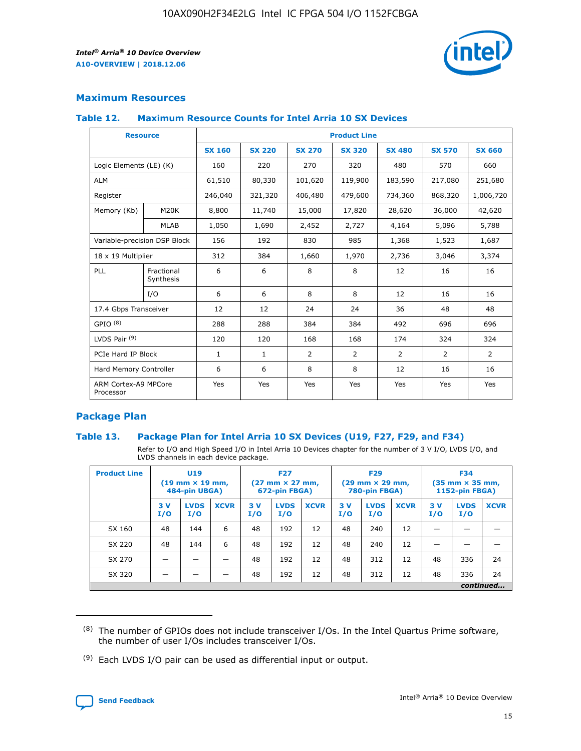

# **Maximum Resources**

#### **Table 12. Maximum Resource Counts for Intel Arria 10 SX Devices**

| <b>Resource</b>                   |                         |               |               |                | <b>Product Line</b> |                |                |                |
|-----------------------------------|-------------------------|---------------|---------------|----------------|---------------------|----------------|----------------|----------------|
|                                   |                         | <b>SX 160</b> | <b>SX 220</b> | <b>SX 270</b>  | <b>SX 320</b>       | <b>SX 480</b>  | <b>SX 570</b>  | <b>SX 660</b>  |
| Logic Elements (LE) (K)           |                         | 160           | 220           | 270            | 320                 | 480            | 570            | 660            |
| <b>ALM</b>                        |                         | 61,510        | 80,330        | 101,620        | 119,900             | 183,590        | 217,080        | 251,680        |
| Register                          |                         | 246,040       | 321,320       | 406,480        | 479,600             | 734,360        | 868,320        | 1,006,720      |
| Memory (Kb)                       | M <sub>20</sub> K       | 8,800         | 11,740        | 15,000         | 17,820              | 28,620         | 36,000         | 42,620         |
|                                   | <b>MLAB</b>             | 1,050         | 1,690         | 2,452          | 2,727               | 4,164          | 5,096          | 5,788          |
| Variable-precision DSP Block      |                         | 156           | 192           | 830            | 985                 | 1,368          | 1,523          | 1,687          |
| 18 x 19 Multiplier                |                         | 312           | 384           | 1,660          | 1,970               | 2,736          | 3,046          | 3,374          |
| <b>PLL</b>                        | Fractional<br>Synthesis | 6             | 6             | 8              | 8                   | 12             | 16             | 16             |
|                                   | I/O                     | 6             | 6             | 8              | 8                   | 12             | 16             | 16             |
| 17.4 Gbps Transceiver             |                         | 12            | 12            | 24             | 24                  | 36             | 48             | 48             |
| GPIO <sup>(8)</sup>               |                         | 288           | 288           | 384            | 384                 | 492            | 696            | 696            |
| LVDS Pair $(9)$                   |                         | 120           | 120           | 168            | 168                 | 174            | 324            | 324            |
|                                   | PCIe Hard IP Block      |               | $\mathbf{1}$  | $\overline{2}$ | $\overline{2}$      | $\overline{2}$ | $\overline{2}$ | $\overline{2}$ |
| Hard Memory Controller            |                         | 6             | 6             | 8              | 8                   | 12             | 16             | 16             |
| ARM Cortex-A9 MPCore<br>Processor |                         | Yes           | Yes           | Yes            | Yes                 | Yes            | Yes            | Yes            |

# **Package Plan**

#### **Table 13. Package Plan for Intel Arria 10 SX Devices (U19, F27, F29, and F34)**

Refer to I/O and High Speed I/O in Intel Arria 10 Devices chapter for the number of 3 V I/O, LVDS I/O, and LVDS channels in each device package.

| <b>Product Line</b> | U <sub>19</sub><br>$(19 \text{ mm} \times 19 \text{ mm})$<br>484-pin UBGA) |                    |             | <b>F27</b><br>$(27 \text{ mm} \times 27 \text{ mm})$ .<br>672-pin FBGA) |                    | <b>F29</b><br>$(29 \text{ mm} \times 29 \text{ mm})$ .<br>780-pin FBGA) |            |                    | <b>F34</b><br>$(35 \text{ mm} \times 35 \text{ mm})$<br><b>1152-pin FBGA)</b> |           |                    |             |
|---------------------|----------------------------------------------------------------------------|--------------------|-------------|-------------------------------------------------------------------------|--------------------|-------------------------------------------------------------------------|------------|--------------------|-------------------------------------------------------------------------------|-----------|--------------------|-------------|
|                     | 3V<br>I/O                                                                  | <b>LVDS</b><br>I/O | <b>XCVR</b> | 3V<br>I/O                                                               | <b>LVDS</b><br>I/O | <b>XCVR</b>                                                             | 3 V<br>I/O | <b>LVDS</b><br>I/O | <b>XCVR</b>                                                                   | 3V<br>I/O | <b>LVDS</b><br>I/O | <b>XCVR</b> |
| SX 160              | 48                                                                         | 144                | 6           | 48                                                                      | 192                | 12                                                                      | 48         | 240                | 12                                                                            |           |                    |             |
| SX 220              | 48                                                                         | 144                | 6           | 48                                                                      | 192                | 12                                                                      | 48         | 240                | 12                                                                            |           |                    |             |
| SX 270              |                                                                            |                    |             | 48                                                                      | 192                | 12                                                                      | 48         | 312                | 12                                                                            | 48        | 336                | 24          |
| SX 320              |                                                                            |                    |             | 48                                                                      | 192                | 12                                                                      | 48         | 312                | 12                                                                            | 48        | 336                | 24          |
|                     | continued                                                                  |                    |             |                                                                         |                    |                                                                         |            |                    |                                                                               |           |                    |             |

 $(8)$  The number of GPIOs does not include transceiver I/Os. In the Intel Quartus Prime software, the number of user I/Os includes transceiver I/Os.

 $(9)$  Each LVDS I/O pair can be used as differential input or output.

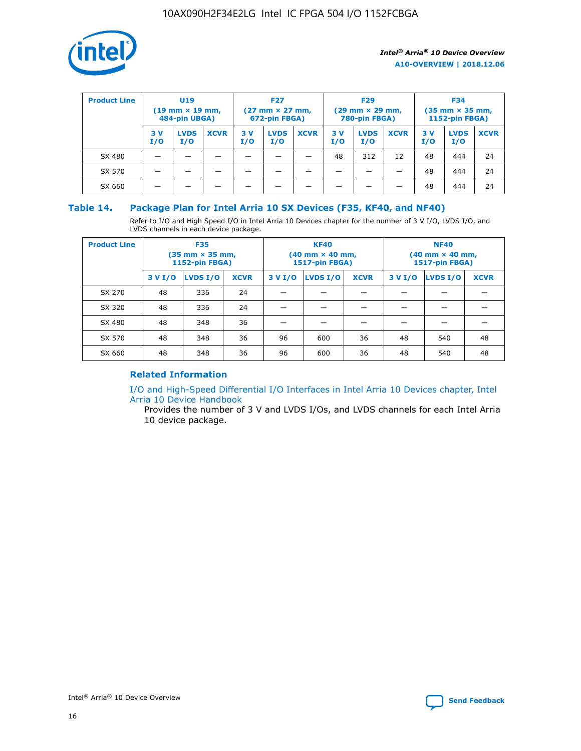

| <b>Product Line</b> | <b>U19</b><br>$(19 \text{ mm} \times 19 \text{ mm})$<br>484-pin UBGA) |                    | <b>F27</b><br>$(27 \text{ mm} \times 27 \text{ mm})$<br>672-pin FBGA) |           | <b>F29</b><br>$(29$ mm $\times$ 29 mm,<br>780-pin FBGA) |             |           | <b>F34</b><br>$(35$ mm $\times$ 35 mm,<br><b>1152-pin FBGA)</b> |             |            |                    |             |
|---------------------|-----------------------------------------------------------------------|--------------------|-----------------------------------------------------------------------|-----------|---------------------------------------------------------|-------------|-----------|-----------------------------------------------------------------|-------------|------------|--------------------|-------------|
|                     | 3 V<br>I/O                                                            | <b>LVDS</b><br>I/O | <b>XCVR</b>                                                           | 3V<br>I/O | <b>LVDS</b><br>I/O                                      | <b>XCVR</b> | 3V<br>I/O | <b>LVDS</b><br>I/O                                              | <b>XCVR</b> | 3 V<br>I/O | <b>LVDS</b><br>I/O | <b>XCVR</b> |
| SX 480              |                                                                       |                    |                                                                       |           |                                                         |             | 48        | 312                                                             | 12          | 48         | 444                | 24          |
| SX 570              |                                                                       |                    |                                                                       |           |                                                         |             |           |                                                                 |             | 48         | 444                | 24          |
| SX 660              |                                                                       |                    |                                                                       |           |                                                         |             |           |                                                                 |             | 48         | 444                | 24          |

## **Table 14. Package Plan for Intel Arria 10 SX Devices (F35, KF40, and NF40)**

Refer to I/O and High Speed I/O in Intel Arria 10 Devices chapter for the number of 3 V I/O, LVDS I/O, and LVDS channels in each device package.

| <b>Product Line</b> | <b>F35</b><br>(35 mm × 35 mm,<br><b>1152-pin FBGA)</b> |          |             |         | <b>KF40</b><br>(40 mm × 40 mm,<br>1517-pin FBGA) |    | <b>NF40</b><br>$(40 \text{ mm} \times 40 \text{ mm})$<br>1517-pin FBGA) |          |             |  |
|---------------------|--------------------------------------------------------|----------|-------------|---------|--------------------------------------------------|----|-------------------------------------------------------------------------|----------|-------------|--|
|                     | 3 V I/O                                                | LVDS I/O | <b>XCVR</b> | 3 V I/O | <b>LVDS I/O</b><br><b>XCVR</b>                   |    |                                                                         | LVDS I/O | <b>XCVR</b> |  |
| SX 270              | 48                                                     | 336      | 24          |         |                                                  |    |                                                                         |          |             |  |
| SX 320              | 48                                                     | 336      | 24          |         |                                                  |    |                                                                         |          |             |  |
| SX 480              | 48                                                     | 348      | 36          |         |                                                  |    |                                                                         |          |             |  |
| SX 570              | 48                                                     | 348      | 36          | 96      | 600                                              | 36 | 48                                                                      | 540      | 48          |  |
| SX 660              | 48                                                     | 348      | 36          | 96      | 600                                              | 36 | 48                                                                      | 540      | 48          |  |

# **Related Information**

[I/O and High-Speed Differential I/O Interfaces in Intel Arria 10 Devices chapter, Intel](https://www.intel.com/content/www/us/en/programmable/documentation/sam1403482614086.html#sam1403482030321) [Arria 10 Device Handbook](https://www.intel.com/content/www/us/en/programmable/documentation/sam1403482614086.html#sam1403482030321)

Provides the number of 3 V and LVDS I/Os, and LVDS channels for each Intel Arria 10 device package.

Intel<sup>®</sup> Arria<sup>®</sup> 10 Device Overview **[Send Feedback](mailto:FPGAtechdocfeedback@intel.com?subject=Feedback%20on%20Intel%20Arria%2010%20Device%20Overview%20(A10-OVERVIEW%202018.12.06)&body=We%20appreciate%20your%20feedback.%20In%20your%20comments,%20also%20specify%20the%20page%20number%20or%20paragraph.%20Thank%20you.)** Send Feedback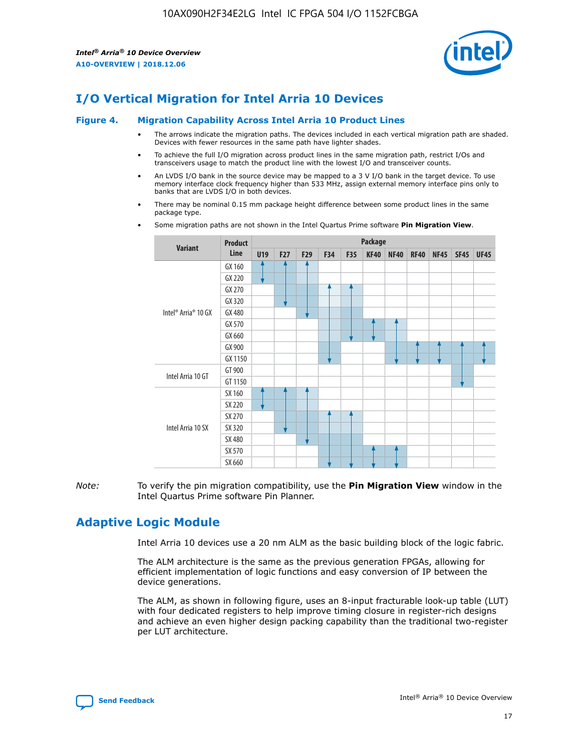

# **I/O Vertical Migration for Intel Arria 10 Devices**

#### **Figure 4. Migration Capability Across Intel Arria 10 Product Lines**

- The arrows indicate the migration paths. The devices included in each vertical migration path are shaded. Devices with fewer resources in the same path have lighter shades.
- To achieve the full I/O migration across product lines in the same migration path, restrict I/Os and transceivers usage to match the product line with the lowest I/O and transceiver counts.
- An LVDS I/O bank in the source device may be mapped to a 3 V I/O bank in the target device. To use memory interface clock frequency higher than 533 MHz, assign external memory interface pins only to banks that are LVDS I/O in both devices.
- There may be nominal 0.15 mm package height difference between some product lines in the same package type.
	- **Variant Product Line Package U19 F27 F29 F34 F35 KF40 NF40 RF40 NF45 SF45 UF45** Intel® Arria® 10 GX GX 160 GX 220 GX 270 GX 320 GX 480 GX 570 GX 660 GX 900 GX 1150 Intel Arria 10 GT GT 900 GT 1150 Intel Arria 10 SX SX 160 SX 220 SX 270 SX 320 SX 480 SX 570 SX 660
- Some migration paths are not shown in the Intel Quartus Prime software **Pin Migration View**.

*Note:* To verify the pin migration compatibility, use the **Pin Migration View** window in the Intel Quartus Prime software Pin Planner.

# **Adaptive Logic Module**

Intel Arria 10 devices use a 20 nm ALM as the basic building block of the logic fabric.

The ALM architecture is the same as the previous generation FPGAs, allowing for efficient implementation of logic functions and easy conversion of IP between the device generations.

The ALM, as shown in following figure, uses an 8-input fracturable look-up table (LUT) with four dedicated registers to help improve timing closure in register-rich designs and achieve an even higher design packing capability than the traditional two-register per LUT architecture.

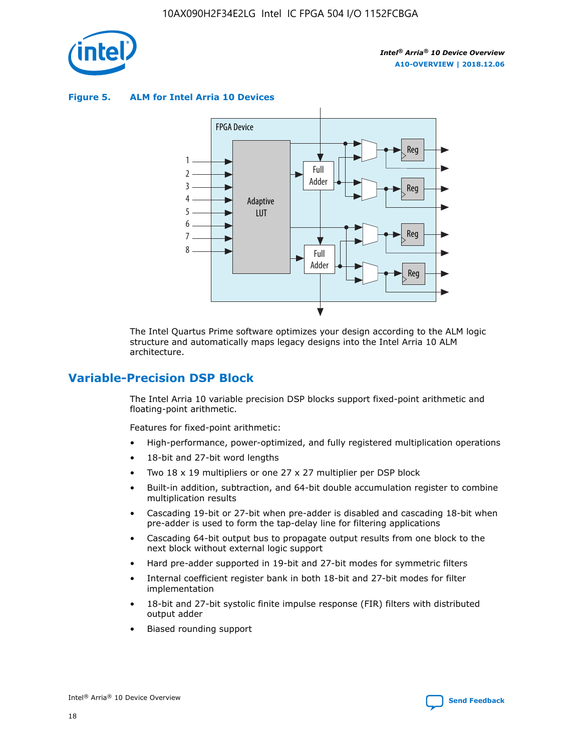

**Figure 5. ALM for Intel Arria 10 Devices**



The Intel Quartus Prime software optimizes your design according to the ALM logic structure and automatically maps legacy designs into the Intel Arria 10 ALM architecture.

# **Variable-Precision DSP Block**

The Intel Arria 10 variable precision DSP blocks support fixed-point arithmetic and floating-point arithmetic.

Features for fixed-point arithmetic:

- High-performance, power-optimized, and fully registered multiplication operations
- 18-bit and 27-bit word lengths
- Two 18 x 19 multipliers or one 27 x 27 multiplier per DSP block
- Built-in addition, subtraction, and 64-bit double accumulation register to combine multiplication results
- Cascading 19-bit or 27-bit when pre-adder is disabled and cascading 18-bit when pre-adder is used to form the tap-delay line for filtering applications
- Cascading 64-bit output bus to propagate output results from one block to the next block without external logic support
- Hard pre-adder supported in 19-bit and 27-bit modes for symmetric filters
- Internal coefficient register bank in both 18-bit and 27-bit modes for filter implementation
- 18-bit and 27-bit systolic finite impulse response (FIR) filters with distributed output adder
- Biased rounding support

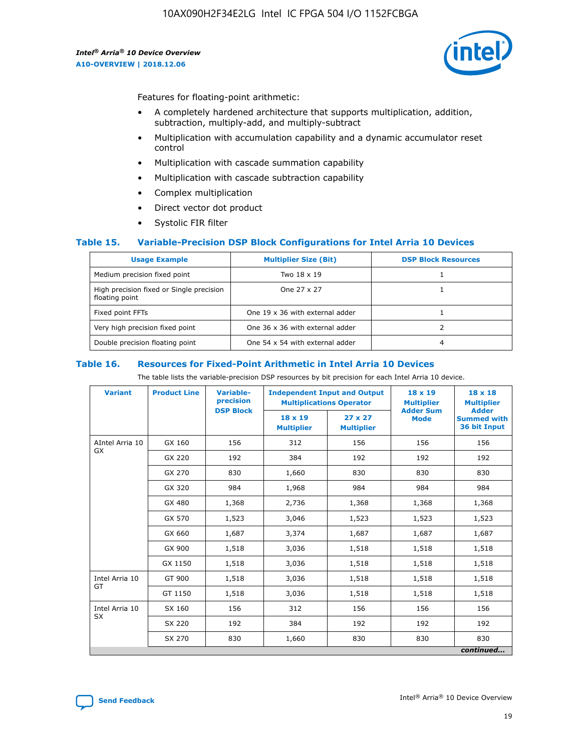

Features for floating-point arithmetic:

- A completely hardened architecture that supports multiplication, addition, subtraction, multiply-add, and multiply-subtract
- Multiplication with accumulation capability and a dynamic accumulator reset control
- Multiplication with cascade summation capability
- Multiplication with cascade subtraction capability
- Complex multiplication
- Direct vector dot product
- Systolic FIR filter

#### **Table 15. Variable-Precision DSP Block Configurations for Intel Arria 10 Devices**

| <b>Usage Example</b>                                       | <b>Multiplier Size (Bit)</b>    | <b>DSP Block Resources</b> |
|------------------------------------------------------------|---------------------------------|----------------------------|
| Medium precision fixed point                               | Two 18 x 19                     |                            |
| High precision fixed or Single precision<br>floating point | One 27 x 27                     |                            |
| Fixed point FFTs                                           | One 19 x 36 with external adder |                            |
| Very high precision fixed point                            | One 36 x 36 with external adder |                            |
| Double precision floating point                            | One 54 x 54 with external adder | 4                          |

#### **Table 16. Resources for Fixed-Point Arithmetic in Intel Arria 10 Devices**

The table lists the variable-precision DSP resources by bit precision for each Intel Arria 10 device.

| <b>Variant</b>  | <b>Product Line</b> | <b>Variable-</b><br>precision<br><b>DSP Block</b> | <b>Independent Input and Output</b><br><b>Multiplications Operator</b> |                                     | 18 x 19<br><b>Multiplier</b><br><b>Adder Sum</b> | $18 \times 18$<br><b>Multiplier</b><br><b>Adder</b> |
|-----------------|---------------------|---------------------------------------------------|------------------------------------------------------------------------|-------------------------------------|--------------------------------------------------|-----------------------------------------------------|
|                 |                     |                                                   | 18 x 19<br><b>Multiplier</b>                                           | $27 \times 27$<br><b>Multiplier</b> | <b>Mode</b>                                      | <b>Summed with</b><br>36 bit Input                  |
| AIntel Arria 10 | GX 160              | 156                                               | 312                                                                    | 156                                 | 156                                              | 156                                                 |
| GX              | GX 220              | 192                                               | 384                                                                    | 192                                 | 192                                              | 192                                                 |
|                 | GX 270              | 830                                               | 1,660                                                                  | 830                                 | 830                                              | 830                                                 |
|                 | GX 320              | 984                                               | 1,968                                                                  | 984                                 | 984                                              | 984                                                 |
|                 | GX 480              | 1,368                                             | 2,736                                                                  | 1,368                               | 1,368                                            | 1,368                                               |
|                 | GX 570              | 1,523                                             | 3,046                                                                  | 1,523                               | 1,523                                            | 1,523                                               |
|                 | GX 660              | 1,687                                             | 3,374                                                                  | 1,687                               | 1,687                                            | 1,687                                               |
|                 | GX 900              | 1,518                                             | 3,036                                                                  | 1,518                               | 1,518                                            | 1,518                                               |
|                 | GX 1150             | 1,518                                             | 3,036                                                                  | 1,518                               | 1,518                                            | 1,518                                               |
| Intel Arria 10  | GT 900              | 1,518                                             | 3,036                                                                  | 1,518                               | 1,518                                            | 1,518                                               |
| GT              | GT 1150             | 1,518                                             | 3,036                                                                  | 1,518                               | 1,518                                            | 1,518                                               |
| Intel Arria 10  | SX 160              | 156                                               | 312                                                                    | 156                                 | 156                                              | 156                                                 |
| <b>SX</b>       | SX 220              | 192                                               | 384                                                                    | 192                                 | 192                                              | 192                                                 |
|                 | SX 270              | 830                                               | 1,660                                                                  | 830                                 | 830                                              | 830                                                 |
|                 |                     |                                                   |                                                                        |                                     |                                                  | continued                                           |

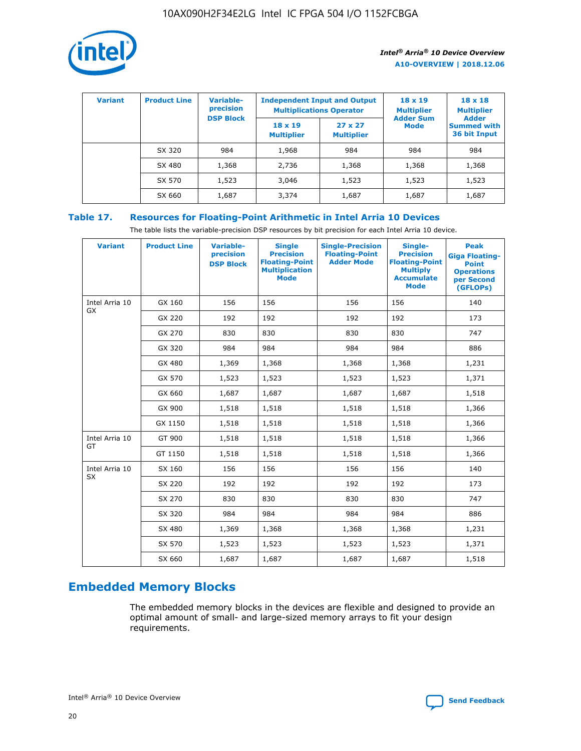

| <b>Variant</b> | <b>Product Line</b> | <b>Variable-</b><br>precision | <b>Independent Input and Output</b><br><b>Multiplications Operator</b> |                                     | $18 \times 19$<br><b>Multiplier</b> | $18 \times 18$<br><b>Multiplier</b><br><b>Adder</b> |  |
|----------------|---------------------|-------------------------------|------------------------------------------------------------------------|-------------------------------------|-------------------------------------|-----------------------------------------------------|--|
|                |                     | <b>DSP Block</b>              | $18 \times 19$<br><b>Multiplier</b>                                    | $27 \times 27$<br><b>Multiplier</b> | <b>Adder Sum</b><br><b>Mode</b>     | <b>Summed with</b><br>36 bit Input                  |  |
|                | SX 320              | 984                           | 1,968                                                                  | 984                                 | 984                                 | 984                                                 |  |
|                | SX 480              | 1,368                         | 2,736                                                                  | 1,368                               | 1,368                               | 1,368                                               |  |
|                | SX 570              | 1,523                         | 3,046                                                                  | 1,523                               | 1,523                               | 1,523                                               |  |
|                | SX 660              | 1,687                         | 3,374                                                                  | 1,687                               | 1,687                               | 1,687                                               |  |

# **Table 17. Resources for Floating-Point Arithmetic in Intel Arria 10 Devices**

The table lists the variable-precision DSP resources by bit precision for each Intel Arria 10 device.

| <b>Variant</b> | <b>Product Line</b> | <b>Variable-</b><br>precision<br><b>DSP Block</b> | <b>Single</b><br><b>Precision</b><br><b>Floating-Point</b><br><b>Multiplication</b><br><b>Mode</b> | <b>Single-Precision</b><br><b>Floating-Point</b><br><b>Adder Mode</b> | Single-<br><b>Precision</b><br><b>Floating-Point</b><br><b>Multiply</b><br><b>Accumulate</b><br><b>Mode</b> | <b>Peak</b><br><b>Giga Floating-</b><br><b>Point</b><br><b>Operations</b><br>per Second<br>(GFLOPs) |
|----------------|---------------------|---------------------------------------------------|----------------------------------------------------------------------------------------------------|-----------------------------------------------------------------------|-------------------------------------------------------------------------------------------------------------|-----------------------------------------------------------------------------------------------------|
| Intel Arria 10 | GX 160              | 156                                               | 156                                                                                                | 156                                                                   | 156                                                                                                         | 140                                                                                                 |
| <b>GX</b>      | GX 220              | 192                                               | 192                                                                                                | 192                                                                   | 192                                                                                                         | 173                                                                                                 |
|                | GX 270              | 830                                               | 830                                                                                                | 830                                                                   | 830                                                                                                         | 747                                                                                                 |
|                | GX 320              | 984                                               | 984                                                                                                | 984                                                                   | 984                                                                                                         | 886                                                                                                 |
|                | GX 480              | 1,369                                             | 1,368                                                                                              | 1,368                                                                 | 1,368                                                                                                       | 1,231                                                                                               |
|                | GX 570              | 1,523                                             | 1,523                                                                                              | 1,523                                                                 | 1,523                                                                                                       | 1,371                                                                                               |
|                | GX 660              | 1,687                                             | 1,687                                                                                              | 1,687                                                                 | 1,687                                                                                                       | 1,518                                                                                               |
|                | GX 900              | 1,518                                             | 1,518                                                                                              | 1,518                                                                 | 1,518                                                                                                       | 1,366                                                                                               |
|                | GX 1150             | 1,518                                             | 1,518                                                                                              | 1,518                                                                 | 1,518                                                                                                       | 1,366                                                                                               |
| Intel Arria 10 | GT 900              | 1,518                                             | 1,518                                                                                              | 1,518                                                                 | 1,518                                                                                                       | 1,366                                                                                               |
| GT             | GT 1150             | 1,518                                             | 1,518                                                                                              | 1,518                                                                 | 1,518                                                                                                       | 1,366                                                                                               |
| Intel Arria 10 | SX 160              | 156                                               | 156                                                                                                | 156                                                                   | 156                                                                                                         | 140                                                                                                 |
| SX             | SX 220              | 192                                               | 192                                                                                                | 192                                                                   | 192                                                                                                         | 173                                                                                                 |
|                | SX 270              | 830                                               | 830                                                                                                | 830                                                                   | 830                                                                                                         | 747                                                                                                 |
|                | SX 320              | 984                                               | 984                                                                                                | 984                                                                   | 984                                                                                                         | 886                                                                                                 |
|                | SX 480              | 1,369                                             | 1,368                                                                                              | 1,368                                                                 | 1,368                                                                                                       | 1,231                                                                                               |
|                | SX 570              | 1,523                                             | 1,523                                                                                              | 1,523                                                                 | 1,523                                                                                                       | 1,371                                                                                               |
|                | SX 660              | 1,687                                             | 1,687                                                                                              | 1,687                                                                 | 1,687                                                                                                       | 1,518                                                                                               |

# **Embedded Memory Blocks**

The embedded memory blocks in the devices are flexible and designed to provide an optimal amount of small- and large-sized memory arrays to fit your design requirements.

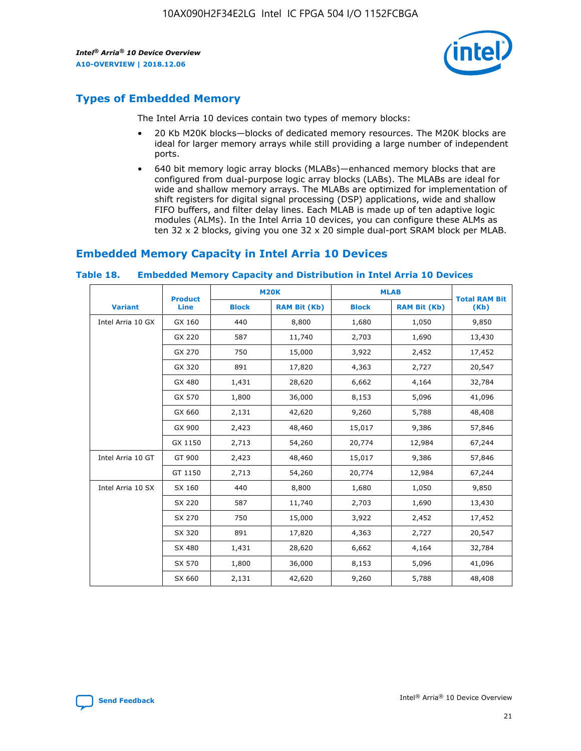

# **Types of Embedded Memory**

The Intel Arria 10 devices contain two types of memory blocks:

- 20 Kb M20K blocks—blocks of dedicated memory resources. The M20K blocks are ideal for larger memory arrays while still providing a large number of independent ports.
- 640 bit memory logic array blocks (MLABs)—enhanced memory blocks that are configured from dual-purpose logic array blocks (LABs). The MLABs are ideal for wide and shallow memory arrays. The MLABs are optimized for implementation of shift registers for digital signal processing (DSP) applications, wide and shallow FIFO buffers, and filter delay lines. Each MLAB is made up of ten adaptive logic modules (ALMs). In the Intel Arria 10 devices, you can configure these ALMs as ten 32 x 2 blocks, giving you one 32 x 20 simple dual-port SRAM block per MLAB.

# **Embedded Memory Capacity in Intel Arria 10 Devices**

|                   | <b>Product</b> |              | <b>M20K</b>         | <b>MLAB</b>  |                     | <b>Total RAM Bit</b> |
|-------------------|----------------|--------------|---------------------|--------------|---------------------|----------------------|
| <b>Variant</b>    | <b>Line</b>    | <b>Block</b> | <b>RAM Bit (Kb)</b> | <b>Block</b> | <b>RAM Bit (Kb)</b> | (Kb)                 |
| Intel Arria 10 GX | GX 160         | 440          | 8,800               | 1,680        | 1,050               | 9,850                |
|                   | GX 220         | 587          | 11,740              | 2,703        | 1,690               | 13,430               |
|                   | GX 270         | 750          | 15,000              | 3,922        | 2,452               | 17,452               |
|                   | GX 320         | 891          | 17,820              | 4,363        | 2,727               | 20,547               |
|                   | GX 480         | 1,431        | 28,620              | 6,662        | 4,164               | 32,784               |
|                   | GX 570         | 1,800        | 36,000              | 8,153        | 5,096               | 41,096               |
|                   | GX 660         | 2,131        | 42,620              | 9,260        | 5,788               | 48,408               |
|                   | GX 900         | 2,423        | 48,460              | 15,017       | 9,386               | 57,846               |
|                   | GX 1150        | 2,713        | 54,260              | 20,774       | 12,984              | 67,244               |
| Intel Arria 10 GT | GT 900         | 2,423        | 48,460              | 15,017       | 9,386               | 57,846               |
|                   | GT 1150        | 2,713        | 54,260              | 20,774       | 12,984              | 67,244               |
| Intel Arria 10 SX | SX 160         | 440          | 8,800               | 1,680        | 1,050               | 9,850                |
|                   | SX 220         | 587          | 11,740              | 2,703        | 1,690               | 13,430               |
|                   | SX 270         | 750          | 15,000              | 3,922        | 2,452               | 17,452               |
|                   | SX 320         | 891          | 17,820              | 4,363        | 2,727               | 20,547               |
|                   | SX 480         | 1,431        | 28,620              | 6,662        | 4,164               | 32,784               |
|                   | SX 570         | 1,800        | 36,000              | 8,153        | 5,096               | 41,096               |
|                   | SX 660         | 2,131        | 42,620              | 9,260        | 5,788               | 48,408               |

#### **Table 18. Embedded Memory Capacity and Distribution in Intel Arria 10 Devices**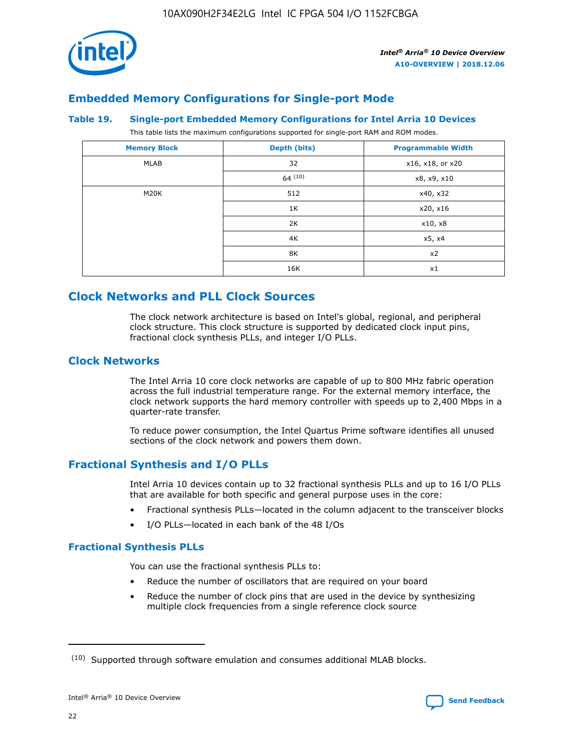

# **Embedded Memory Configurations for Single-port Mode**

#### **Table 19. Single-port Embedded Memory Configurations for Intel Arria 10 Devices**

This table lists the maximum configurations supported for single-port RAM and ROM modes.

| <b>Memory Block</b> | Depth (bits) | <b>Programmable Width</b> |
|---------------------|--------------|---------------------------|
| MLAB                | 32           | x16, x18, or x20          |
|                     | 64(10)       | x8, x9, x10               |
| M20K                | 512          | x40, x32                  |
|                     | 1K           | x20, x16                  |
|                     | 2K           | x10, x8                   |
|                     | 4K           | x5, x4                    |
|                     | 8K           | x2                        |
|                     | 16K          | x1                        |

# **Clock Networks and PLL Clock Sources**

The clock network architecture is based on Intel's global, regional, and peripheral clock structure. This clock structure is supported by dedicated clock input pins, fractional clock synthesis PLLs, and integer I/O PLLs.

# **Clock Networks**

The Intel Arria 10 core clock networks are capable of up to 800 MHz fabric operation across the full industrial temperature range. For the external memory interface, the clock network supports the hard memory controller with speeds up to 2,400 Mbps in a quarter-rate transfer.

To reduce power consumption, the Intel Quartus Prime software identifies all unused sections of the clock network and powers them down.

# **Fractional Synthesis and I/O PLLs**

Intel Arria 10 devices contain up to 32 fractional synthesis PLLs and up to 16 I/O PLLs that are available for both specific and general purpose uses in the core:

- Fractional synthesis PLLs—located in the column adjacent to the transceiver blocks
- I/O PLLs—located in each bank of the 48 I/Os

#### **Fractional Synthesis PLLs**

You can use the fractional synthesis PLLs to:

- Reduce the number of oscillators that are required on your board
- Reduce the number of clock pins that are used in the device by synthesizing multiple clock frequencies from a single reference clock source

<sup>(10)</sup> Supported through software emulation and consumes additional MLAB blocks.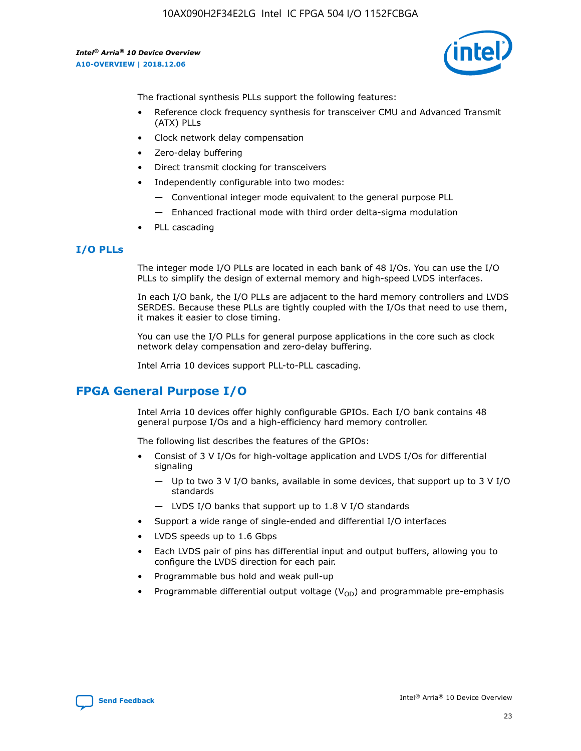10AX090H2F34E2LG Intel IC FPGA 504 I/O 1152FCBGA

*Intel® Arria® 10 Device Overview* **A10-OVERVIEW | 2018.12.06**



The fractional synthesis PLLs support the following features:

- Reference clock frequency synthesis for transceiver CMU and Advanced Transmit (ATX) PLLs
- Clock network delay compensation
- Zero-delay buffering
- Direct transmit clocking for transceivers
- Independently configurable into two modes:
	- Conventional integer mode equivalent to the general purpose PLL
	- Enhanced fractional mode with third order delta-sigma modulation
- PLL cascading

#### **I/O PLLs**

The integer mode I/O PLLs are located in each bank of 48 I/Os. You can use the I/O PLLs to simplify the design of external memory and high-speed LVDS interfaces.

In each I/O bank, the I/O PLLs are adjacent to the hard memory controllers and LVDS SERDES. Because these PLLs are tightly coupled with the I/Os that need to use them, it makes it easier to close timing.

You can use the I/O PLLs for general purpose applications in the core such as clock network delay compensation and zero-delay buffering.

Intel Arria 10 devices support PLL-to-PLL cascading.

# **FPGA General Purpose I/O**

Intel Arria 10 devices offer highly configurable GPIOs. Each I/O bank contains 48 general purpose I/Os and a high-efficiency hard memory controller.

The following list describes the features of the GPIOs:

- Consist of 3 V I/Os for high-voltage application and LVDS I/Os for differential signaling
	- Up to two 3 V I/O banks, available in some devices, that support up to 3 V I/O standards
	- LVDS I/O banks that support up to 1.8 V I/O standards
- Support a wide range of single-ended and differential I/O interfaces
- LVDS speeds up to 1.6 Gbps
- Each LVDS pair of pins has differential input and output buffers, allowing you to configure the LVDS direction for each pair.
- Programmable bus hold and weak pull-up
- Programmable differential output voltage  $(V_{OD})$  and programmable pre-emphasis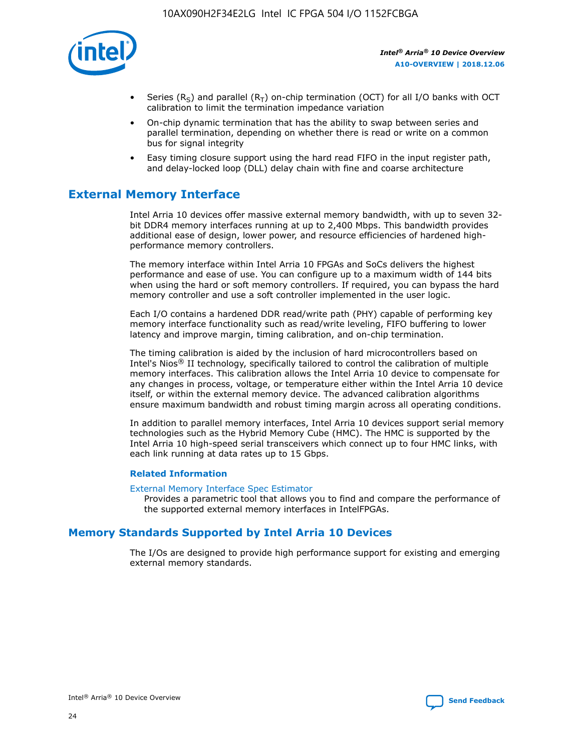

- Series (R<sub>S</sub>) and parallel (R<sub>T</sub>) on-chip termination (OCT) for all I/O banks with OCT calibration to limit the termination impedance variation
- On-chip dynamic termination that has the ability to swap between series and parallel termination, depending on whether there is read or write on a common bus for signal integrity
- Easy timing closure support using the hard read FIFO in the input register path, and delay-locked loop (DLL) delay chain with fine and coarse architecture

# **External Memory Interface**

Intel Arria 10 devices offer massive external memory bandwidth, with up to seven 32 bit DDR4 memory interfaces running at up to 2,400 Mbps. This bandwidth provides additional ease of design, lower power, and resource efficiencies of hardened highperformance memory controllers.

The memory interface within Intel Arria 10 FPGAs and SoCs delivers the highest performance and ease of use. You can configure up to a maximum width of 144 bits when using the hard or soft memory controllers. If required, you can bypass the hard memory controller and use a soft controller implemented in the user logic.

Each I/O contains a hardened DDR read/write path (PHY) capable of performing key memory interface functionality such as read/write leveling, FIFO buffering to lower latency and improve margin, timing calibration, and on-chip termination.

The timing calibration is aided by the inclusion of hard microcontrollers based on Intel's Nios® II technology, specifically tailored to control the calibration of multiple memory interfaces. This calibration allows the Intel Arria 10 device to compensate for any changes in process, voltage, or temperature either within the Intel Arria 10 device itself, or within the external memory device. The advanced calibration algorithms ensure maximum bandwidth and robust timing margin across all operating conditions.

In addition to parallel memory interfaces, Intel Arria 10 devices support serial memory technologies such as the Hybrid Memory Cube (HMC). The HMC is supported by the Intel Arria 10 high-speed serial transceivers which connect up to four HMC links, with each link running at data rates up to 15 Gbps.

#### **Related Information**

#### [External Memory Interface Spec Estimator](http://www.altera.com/technology/memory/estimator/mem-emif-index.html)

Provides a parametric tool that allows you to find and compare the performance of the supported external memory interfaces in IntelFPGAs.

# **Memory Standards Supported by Intel Arria 10 Devices**

The I/Os are designed to provide high performance support for existing and emerging external memory standards.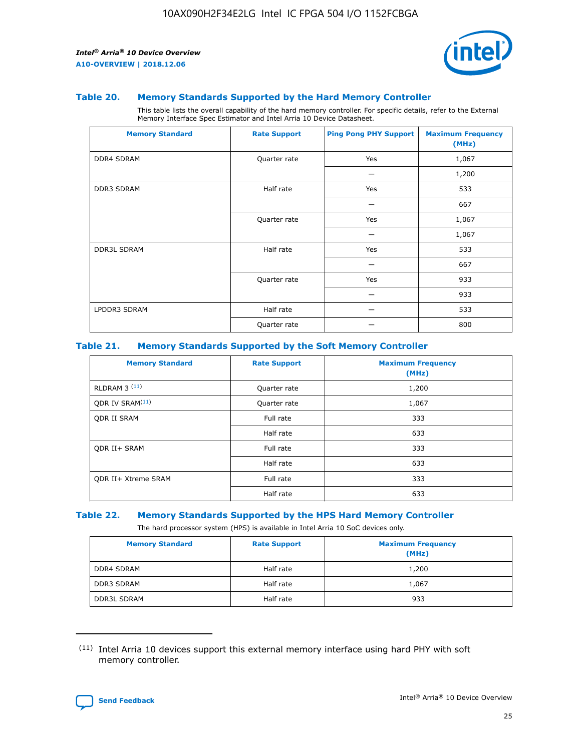

#### **Table 20. Memory Standards Supported by the Hard Memory Controller**

This table lists the overall capability of the hard memory controller. For specific details, refer to the External Memory Interface Spec Estimator and Intel Arria 10 Device Datasheet.

| <b>Memory Standard</b> | <b>Rate Support</b> | <b>Ping Pong PHY Support</b> | <b>Maximum Frequency</b><br>(MHz) |
|------------------------|---------------------|------------------------------|-----------------------------------|
| <b>DDR4 SDRAM</b>      | Quarter rate        | Yes                          | 1,067                             |
|                        |                     |                              | 1,200                             |
| DDR3 SDRAM             | Half rate           | Yes                          | 533                               |
|                        |                     |                              | 667                               |
|                        | Quarter rate        | Yes                          | 1,067                             |
|                        |                     |                              | 1,067                             |
| <b>DDR3L SDRAM</b>     | Half rate           | Yes                          | 533                               |
|                        |                     |                              | 667                               |
|                        | Quarter rate        | Yes                          | 933                               |
|                        |                     |                              | 933                               |
| LPDDR3 SDRAM           | Half rate           |                              | 533                               |
|                        | Quarter rate        |                              | 800                               |

#### **Table 21. Memory Standards Supported by the Soft Memory Controller**

| <b>Memory Standard</b>      | <b>Rate Support</b> | <b>Maximum Frequency</b><br>(MHz) |
|-----------------------------|---------------------|-----------------------------------|
| <b>RLDRAM 3 (11)</b>        | Quarter rate        | 1,200                             |
| ODR IV SRAM <sup>(11)</sup> | Quarter rate        | 1,067                             |
| <b>ODR II SRAM</b>          | Full rate           | 333                               |
|                             | Half rate           | 633                               |
| <b>ODR II+ SRAM</b>         | Full rate           | 333                               |
|                             | Half rate           | 633                               |
| <b>ODR II+ Xtreme SRAM</b>  | Full rate           | 333                               |
|                             | Half rate           | 633                               |

#### **Table 22. Memory Standards Supported by the HPS Hard Memory Controller**

The hard processor system (HPS) is available in Intel Arria 10 SoC devices only.

| <b>Memory Standard</b> | <b>Rate Support</b> | <b>Maximum Frequency</b><br>(MHz) |
|------------------------|---------------------|-----------------------------------|
| <b>DDR4 SDRAM</b>      | Half rate           | 1,200                             |
| <b>DDR3 SDRAM</b>      | Half rate           | 1,067                             |
| <b>DDR3L SDRAM</b>     | Half rate           | 933                               |

<sup>(11)</sup> Intel Arria 10 devices support this external memory interface using hard PHY with soft memory controller.

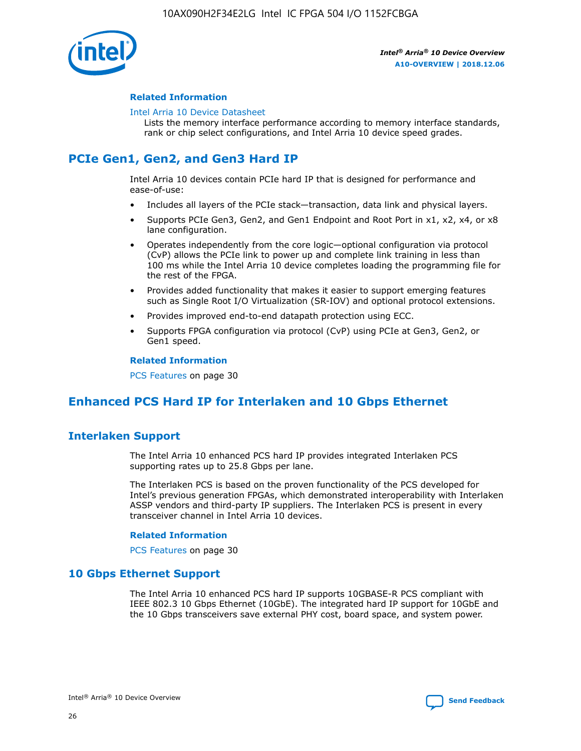

#### **Related Information**

#### [Intel Arria 10 Device Datasheet](https://www.intel.com/content/www/us/en/programmable/documentation/mcn1413182292568.html#mcn1413182153340)

Lists the memory interface performance according to memory interface standards, rank or chip select configurations, and Intel Arria 10 device speed grades.

# **PCIe Gen1, Gen2, and Gen3 Hard IP**

Intel Arria 10 devices contain PCIe hard IP that is designed for performance and ease-of-use:

- Includes all layers of the PCIe stack—transaction, data link and physical layers.
- Supports PCIe Gen3, Gen2, and Gen1 Endpoint and Root Port in x1, x2, x4, or x8 lane configuration.
- Operates independently from the core logic—optional configuration via protocol (CvP) allows the PCIe link to power up and complete link training in less than 100 ms while the Intel Arria 10 device completes loading the programming file for the rest of the FPGA.
- Provides added functionality that makes it easier to support emerging features such as Single Root I/O Virtualization (SR-IOV) and optional protocol extensions.
- Provides improved end-to-end datapath protection using ECC.
- Supports FPGA configuration via protocol (CvP) using PCIe at Gen3, Gen2, or Gen1 speed.

#### **Related Information**

PCS Features on page 30

# **Enhanced PCS Hard IP for Interlaken and 10 Gbps Ethernet**

# **Interlaken Support**

The Intel Arria 10 enhanced PCS hard IP provides integrated Interlaken PCS supporting rates up to 25.8 Gbps per lane.

The Interlaken PCS is based on the proven functionality of the PCS developed for Intel's previous generation FPGAs, which demonstrated interoperability with Interlaken ASSP vendors and third-party IP suppliers. The Interlaken PCS is present in every transceiver channel in Intel Arria 10 devices.

#### **Related Information**

PCS Features on page 30

# **10 Gbps Ethernet Support**

The Intel Arria 10 enhanced PCS hard IP supports 10GBASE-R PCS compliant with IEEE 802.3 10 Gbps Ethernet (10GbE). The integrated hard IP support for 10GbE and the 10 Gbps transceivers save external PHY cost, board space, and system power.

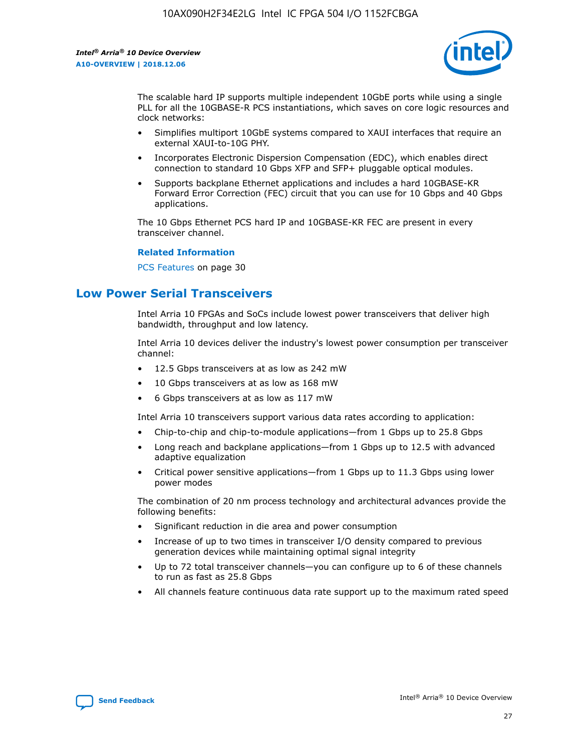

The scalable hard IP supports multiple independent 10GbE ports while using a single PLL for all the 10GBASE-R PCS instantiations, which saves on core logic resources and clock networks:

- Simplifies multiport 10GbE systems compared to XAUI interfaces that require an external XAUI-to-10G PHY.
- Incorporates Electronic Dispersion Compensation (EDC), which enables direct connection to standard 10 Gbps XFP and SFP+ pluggable optical modules.
- Supports backplane Ethernet applications and includes a hard 10GBASE-KR Forward Error Correction (FEC) circuit that you can use for 10 Gbps and 40 Gbps applications.

The 10 Gbps Ethernet PCS hard IP and 10GBASE-KR FEC are present in every transceiver channel.

#### **Related Information**

PCS Features on page 30

# **Low Power Serial Transceivers**

Intel Arria 10 FPGAs and SoCs include lowest power transceivers that deliver high bandwidth, throughput and low latency.

Intel Arria 10 devices deliver the industry's lowest power consumption per transceiver channel:

- 12.5 Gbps transceivers at as low as 242 mW
- 10 Gbps transceivers at as low as 168 mW
- 6 Gbps transceivers at as low as 117 mW

Intel Arria 10 transceivers support various data rates according to application:

- Chip-to-chip and chip-to-module applications—from 1 Gbps up to 25.8 Gbps
- Long reach and backplane applications—from 1 Gbps up to 12.5 with advanced adaptive equalization
- Critical power sensitive applications—from 1 Gbps up to 11.3 Gbps using lower power modes

The combination of 20 nm process technology and architectural advances provide the following benefits:

- Significant reduction in die area and power consumption
- Increase of up to two times in transceiver I/O density compared to previous generation devices while maintaining optimal signal integrity
- Up to 72 total transceiver channels—you can configure up to 6 of these channels to run as fast as 25.8 Gbps
- All channels feature continuous data rate support up to the maximum rated speed

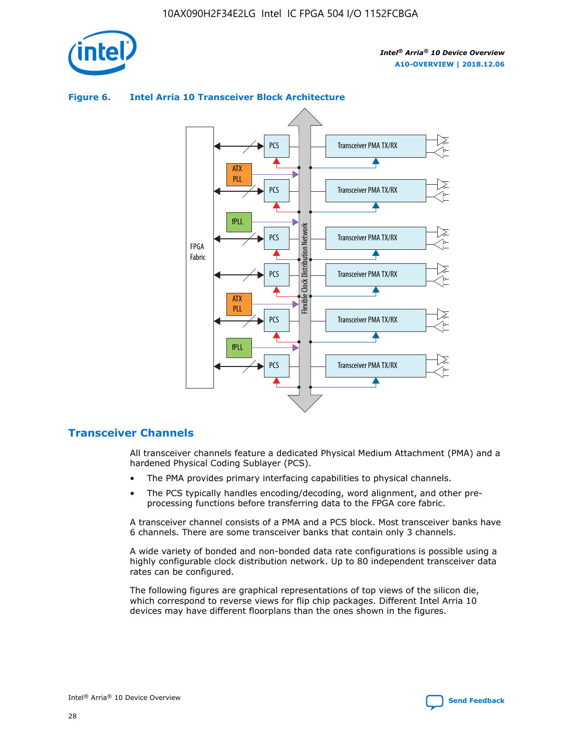



## **Figure 6. Intel Arria 10 Transceiver Block Architecture**

# **Transceiver Channels**

All transceiver channels feature a dedicated Physical Medium Attachment (PMA) and a hardened Physical Coding Sublayer (PCS).

- The PMA provides primary interfacing capabilities to physical channels.
- The PCS typically handles encoding/decoding, word alignment, and other preprocessing functions before transferring data to the FPGA core fabric.

A transceiver channel consists of a PMA and a PCS block. Most transceiver banks have 6 channels. There are some transceiver banks that contain only 3 channels.

A wide variety of bonded and non-bonded data rate configurations is possible using a highly configurable clock distribution network. Up to 80 independent transceiver data rates can be configured.

The following figures are graphical representations of top views of the silicon die, which correspond to reverse views for flip chip packages. Different Intel Arria 10 devices may have different floorplans than the ones shown in the figures.

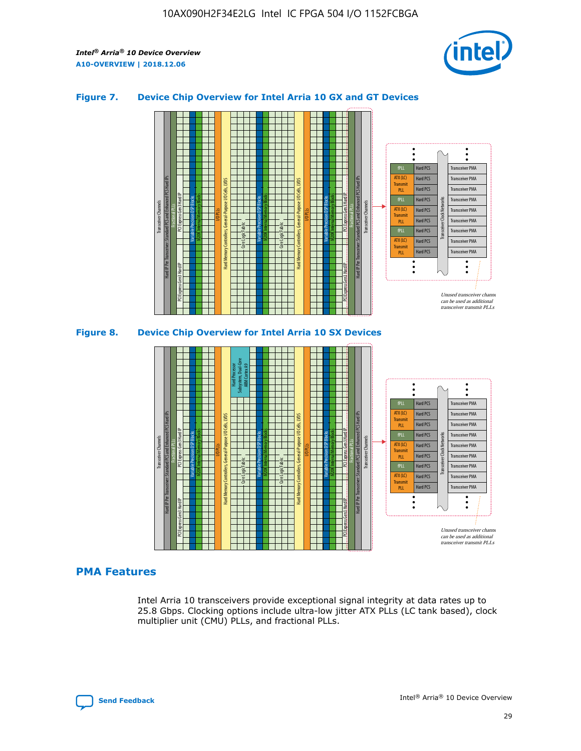

## **Figure 7. Device Chip Overview for Intel Arria 10 GX and GT Devices**



M20K Internal Memory Blocks Core Logic Fabric Transceiver Channels Hard IP Per Transceiver: Standard PCS and Enhanced PCS Hard IPs PCI Express Gen3 Hard IP Fractional PLLs M20K Internal Memory Blocks PCI Express Gen3 Hard IP Variable Precision DSP Blocks I/O PLLs Hard Memory Controllers, General-Purpose I/O Cells, LVDS Hard Processor Subsystem, Dual-Core ARM Cortex A9 M20K Internal Memory Blocks Variable Precision DSP Blocks M20K Internal Memory Blocks Core Logic Fabric I/O PLLs Hard Memory Controllers, General-Purpose I/O Cells, LVDS M20K Internal Memory Blocks Variable Precision DSP Blocks M20K Internal Memory Blocks Transceiver Channels Hard IP Per Transceiver: Standard PCS and Enhanced PCS Hard IPs PCI Express Gen3 Hard IP Fractional PLLs PCI Express Gen3 Hard IP Hard PCS Hard PCS Hard PCS Hard PCS Hard PCS Hard PCS Hard PCS Hard PCS Transceiver PMA Transceiver PMA Transceiver PMA Transceiver PMA Transceiver PMA Transceiver PMA Unused transceiver chann can be used as additional transceiver transmit PLLs Transceiver PMA Transceiver PMA Transceiver Clock Networks ATX (LC) **Transmit** PLL fPLL ATX (LC) Transmi PLL fPLL ATX (LC) **Transmit** PLL

# **PMA Features**

Intel Arria 10 transceivers provide exceptional signal integrity at data rates up to 25.8 Gbps. Clocking options include ultra-low jitter ATX PLLs (LC tank based), clock multiplier unit (CMU) PLLs, and fractional PLLs.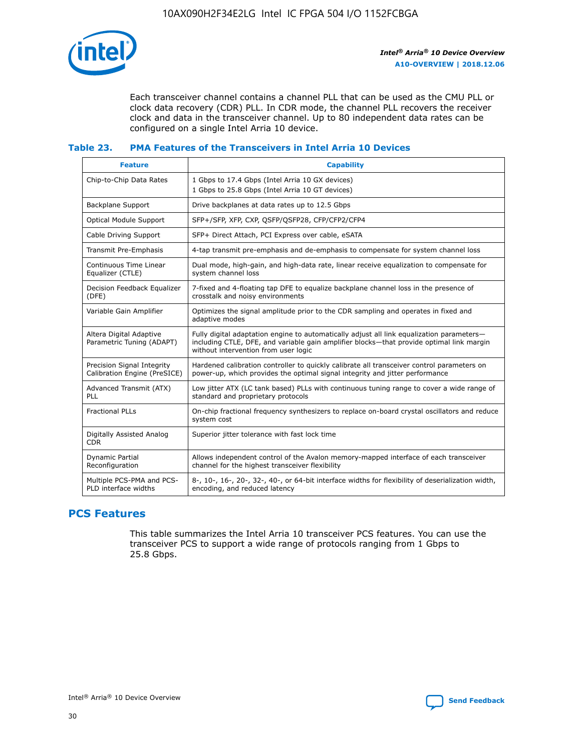

Each transceiver channel contains a channel PLL that can be used as the CMU PLL or clock data recovery (CDR) PLL. In CDR mode, the channel PLL recovers the receiver clock and data in the transceiver channel. Up to 80 independent data rates can be configured on a single Intel Arria 10 device.

## **Table 23. PMA Features of the Transceivers in Intel Arria 10 Devices**

| <b>Feature</b>                                             | <b>Capability</b>                                                                                                                                                                                                             |
|------------------------------------------------------------|-------------------------------------------------------------------------------------------------------------------------------------------------------------------------------------------------------------------------------|
| Chip-to-Chip Data Rates                                    | 1 Gbps to 17.4 Gbps (Intel Arria 10 GX devices)<br>1 Gbps to 25.8 Gbps (Intel Arria 10 GT devices)                                                                                                                            |
| Backplane Support                                          | Drive backplanes at data rates up to 12.5 Gbps                                                                                                                                                                                |
| <b>Optical Module Support</b>                              | SFP+/SFP, XFP, CXP, QSFP/QSFP28, CFP/CFP2/CFP4                                                                                                                                                                                |
| Cable Driving Support                                      | SFP+ Direct Attach, PCI Express over cable, eSATA                                                                                                                                                                             |
| Transmit Pre-Emphasis                                      | 4-tap transmit pre-emphasis and de-emphasis to compensate for system channel loss                                                                                                                                             |
| Continuous Time Linear<br>Equalizer (CTLE)                 | Dual mode, high-gain, and high-data rate, linear receive equalization to compensate for<br>system channel loss                                                                                                                |
| Decision Feedback Equalizer<br>(DFE)                       | 7-fixed and 4-floating tap DFE to equalize backplane channel loss in the presence of<br>crosstalk and noisy environments                                                                                                      |
| Variable Gain Amplifier                                    | Optimizes the signal amplitude prior to the CDR sampling and operates in fixed and<br>adaptive modes                                                                                                                          |
| Altera Digital Adaptive<br>Parametric Tuning (ADAPT)       | Fully digital adaptation engine to automatically adjust all link equalization parameters-<br>including CTLE, DFE, and variable gain amplifier blocks—that provide optimal link margin<br>without intervention from user logic |
| Precision Signal Integrity<br>Calibration Engine (PreSICE) | Hardened calibration controller to quickly calibrate all transceiver control parameters on<br>power-up, which provides the optimal signal integrity and jitter performance                                                    |
| Advanced Transmit (ATX)<br>PLL                             | Low jitter ATX (LC tank based) PLLs with continuous tuning range to cover a wide range of<br>standard and proprietary protocols                                                                                               |
| <b>Fractional PLLs</b>                                     | On-chip fractional frequency synthesizers to replace on-board crystal oscillators and reduce<br>system cost                                                                                                                   |
| Digitally Assisted Analog<br><b>CDR</b>                    | Superior jitter tolerance with fast lock time                                                                                                                                                                                 |
| <b>Dynamic Partial</b><br>Reconfiguration                  | Allows independent control of the Avalon memory-mapped interface of each transceiver<br>channel for the highest transceiver flexibility                                                                                       |
| Multiple PCS-PMA and PCS-<br>PLD interface widths          | 8-, 10-, 16-, 20-, 32-, 40-, or 64-bit interface widths for flexibility of deserialization width,<br>encoding, and reduced latency                                                                                            |

# **PCS Features**

This table summarizes the Intel Arria 10 transceiver PCS features. You can use the transceiver PCS to support a wide range of protocols ranging from 1 Gbps to 25.8 Gbps.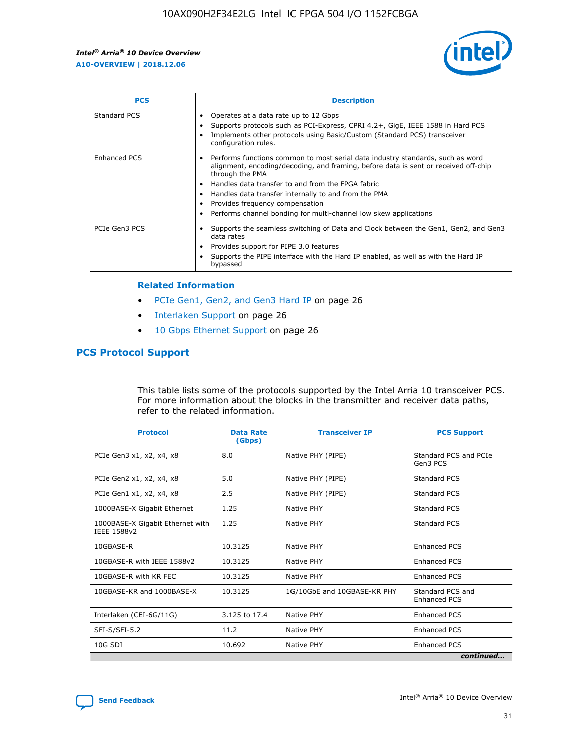

| <b>PCS</b>    | <b>Description</b>                                                                                                                                                                                                                                                                                                                                                                                             |
|---------------|----------------------------------------------------------------------------------------------------------------------------------------------------------------------------------------------------------------------------------------------------------------------------------------------------------------------------------------------------------------------------------------------------------------|
| Standard PCS  | Operates at a data rate up to 12 Gbps<br>Supports protocols such as PCI-Express, CPRI 4.2+, GigE, IEEE 1588 in Hard PCS<br>Implements other protocols using Basic/Custom (Standard PCS) transceiver<br>configuration rules.                                                                                                                                                                                    |
| Enhanced PCS  | Performs functions common to most serial data industry standards, such as word<br>alignment, encoding/decoding, and framing, before data is sent or received off-chip<br>through the PMA<br>• Handles data transfer to and from the FPGA fabric<br>Handles data transfer internally to and from the PMA<br>Provides frequency compensation<br>Performs channel bonding for multi-channel low skew applications |
| PCIe Gen3 PCS | Supports the seamless switching of Data and Clock between the Gen1, Gen2, and Gen3<br>data rates<br>Provides support for PIPE 3.0 features<br>Supports the PIPE interface with the Hard IP enabled, as well as with the Hard IP<br>bypassed                                                                                                                                                                    |

#### **Related Information**

- PCIe Gen1, Gen2, and Gen3 Hard IP on page 26
- Interlaken Support on page 26
- 10 Gbps Ethernet Support on page 26

# **PCS Protocol Support**

This table lists some of the protocols supported by the Intel Arria 10 transceiver PCS. For more information about the blocks in the transmitter and receiver data paths, refer to the related information.

| <b>Protocol</b>                                 | <b>Data Rate</b><br>(Gbps) | <b>Transceiver IP</b>       | <b>PCS Support</b>                      |
|-------------------------------------------------|----------------------------|-----------------------------|-----------------------------------------|
| PCIe Gen3 x1, x2, x4, x8                        | 8.0                        | Native PHY (PIPE)           | Standard PCS and PCIe<br>Gen3 PCS       |
| PCIe Gen2 x1, x2, x4, x8                        | 5.0                        | Native PHY (PIPE)           | <b>Standard PCS</b>                     |
| PCIe Gen1 x1, x2, x4, x8                        | 2.5                        | Native PHY (PIPE)           | Standard PCS                            |
| 1000BASE-X Gigabit Ethernet                     | 1.25                       | Native PHY                  | <b>Standard PCS</b>                     |
| 1000BASE-X Gigabit Ethernet with<br>IEEE 1588v2 | 1.25                       | Native PHY                  | Standard PCS                            |
| 10GBASE-R                                       | 10.3125                    | Native PHY                  | <b>Enhanced PCS</b>                     |
| 10GBASE-R with IEEE 1588v2                      | 10.3125                    | Native PHY                  | <b>Enhanced PCS</b>                     |
| 10GBASE-R with KR FEC                           | 10.3125                    | Native PHY                  | <b>Enhanced PCS</b>                     |
| 10GBASE-KR and 1000BASE-X                       | 10.3125                    | 1G/10GbE and 10GBASE-KR PHY | Standard PCS and<br><b>Enhanced PCS</b> |
| Interlaken (CEI-6G/11G)                         | 3.125 to 17.4              | Native PHY                  | <b>Enhanced PCS</b>                     |
| SFI-S/SFI-5.2                                   | 11.2                       | Native PHY                  | <b>Enhanced PCS</b>                     |
| $10G$ SDI                                       | 10.692                     | Native PHY                  | <b>Enhanced PCS</b>                     |
|                                                 |                            |                             | continued                               |



**[Send Feedback](mailto:FPGAtechdocfeedback@intel.com?subject=Feedback%20on%20Intel%20Arria%2010%20Device%20Overview%20(A10-OVERVIEW%202018.12.06)&body=We%20appreciate%20your%20feedback.%20In%20your%20comments,%20also%20specify%20the%20page%20number%20or%20paragraph.%20Thank%20you.) Intel®** Arria<sup>®</sup> 10 Device Overview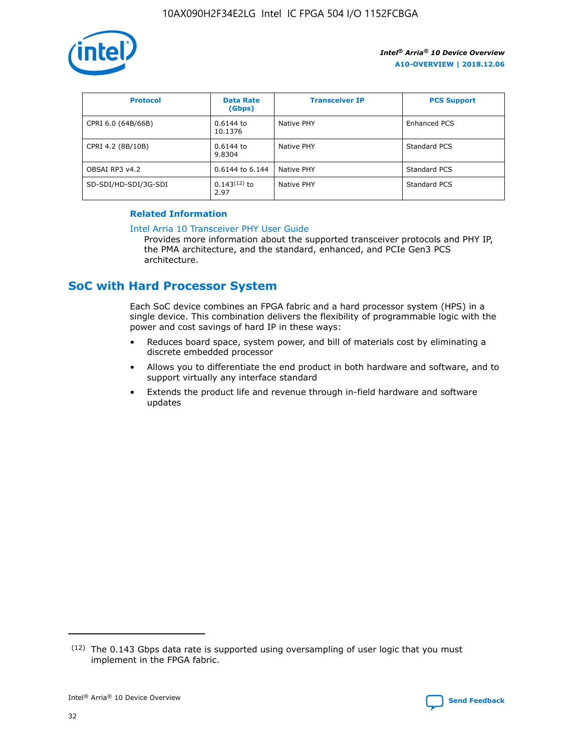

| <b>Protocol</b>      | <b>Data Rate</b><br>(Gbps) | <b>Transceiver IP</b> | <b>PCS Support</b> |
|----------------------|----------------------------|-----------------------|--------------------|
| CPRI 6.0 (64B/66B)   | 0.6144 to<br>10.1376       | Native PHY            | Enhanced PCS       |
| CPRI 4.2 (8B/10B)    | 0.6144 to<br>9.8304        | Native PHY            | Standard PCS       |
| OBSAI RP3 v4.2       | 0.6144 to 6.144            | Native PHY            | Standard PCS       |
| SD-SDI/HD-SDI/3G-SDI | $0.143(12)$ to<br>2.97     | Native PHY            | Standard PCS       |

## **Related Information**

#### [Intel Arria 10 Transceiver PHY User Guide](https://www.intel.com/content/www/us/en/programmable/documentation/nik1398707230472.html#nik1398707091164)

Provides more information about the supported transceiver protocols and PHY IP, the PMA architecture, and the standard, enhanced, and PCIe Gen3 PCS architecture.

# **SoC with Hard Processor System**

Each SoC device combines an FPGA fabric and a hard processor system (HPS) in a single device. This combination delivers the flexibility of programmable logic with the power and cost savings of hard IP in these ways:

- Reduces board space, system power, and bill of materials cost by eliminating a discrete embedded processor
- Allows you to differentiate the end product in both hardware and software, and to support virtually any interface standard
- Extends the product life and revenue through in-field hardware and software updates

<sup>(12)</sup> The 0.143 Gbps data rate is supported using oversampling of user logic that you must implement in the FPGA fabric.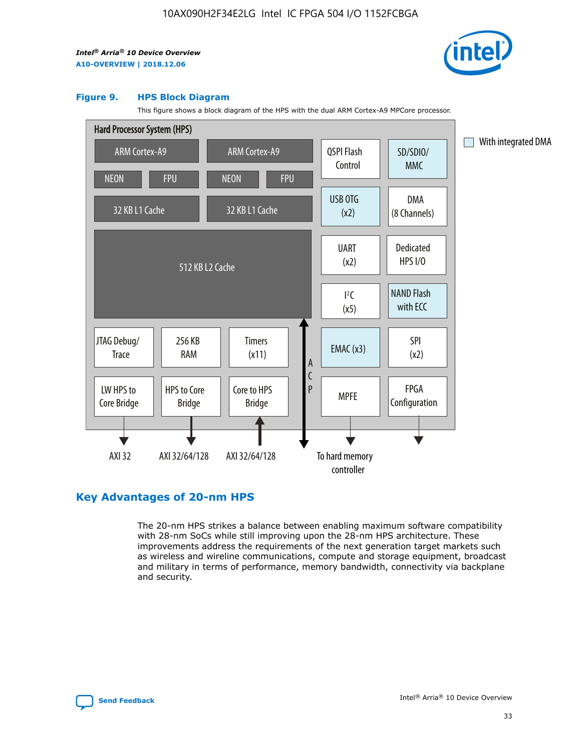

#### **Figure 9. HPS Block Diagram**

This figure shows a block diagram of the HPS with the dual ARM Cortex-A9 MPCore processor.



# **Key Advantages of 20-nm HPS**

The 20-nm HPS strikes a balance between enabling maximum software compatibility with 28-nm SoCs while still improving upon the 28-nm HPS architecture. These improvements address the requirements of the next generation target markets such as wireless and wireline communications, compute and storage equipment, broadcast and military in terms of performance, memory bandwidth, connectivity via backplane and security.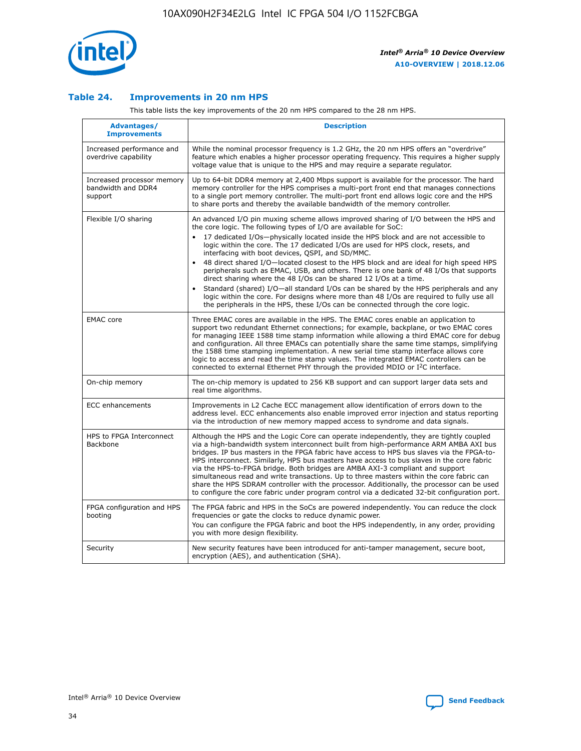

## **Table 24. Improvements in 20 nm HPS**

This table lists the key improvements of the 20 nm HPS compared to the 28 nm HPS.

| <b>Advantages/</b><br><b>Improvements</b>                   | <b>Description</b>                                                                                                                                                                                                                                                                                                                                                                                                                                                                                                                                                                                                                                                                                                                                                                                                                                                                                                      |
|-------------------------------------------------------------|-------------------------------------------------------------------------------------------------------------------------------------------------------------------------------------------------------------------------------------------------------------------------------------------------------------------------------------------------------------------------------------------------------------------------------------------------------------------------------------------------------------------------------------------------------------------------------------------------------------------------------------------------------------------------------------------------------------------------------------------------------------------------------------------------------------------------------------------------------------------------------------------------------------------------|
| Increased performance and<br>overdrive capability           | While the nominal processor frequency is 1.2 GHz, the 20 nm HPS offers an "overdrive"<br>feature which enables a higher processor operating frequency. This requires a higher supply<br>voltage value that is unique to the HPS and may require a separate regulator.                                                                                                                                                                                                                                                                                                                                                                                                                                                                                                                                                                                                                                                   |
| Increased processor memory<br>bandwidth and DDR4<br>support | Up to 64-bit DDR4 memory at 2,400 Mbps support is available for the processor. The hard<br>memory controller for the HPS comprises a multi-port front end that manages connections<br>to a single port memory controller. The multi-port front end allows logic core and the HPS<br>to share ports and thereby the available bandwidth of the memory controller.                                                                                                                                                                                                                                                                                                                                                                                                                                                                                                                                                        |
| Flexible I/O sharing                                        | An advanced I/O pin muxing scheme allows improved sharing of I/O between the HPS and<br>the core logic. The following types of I/O are available for SoC:<br>17 dedicated I/Os-physically located inside the HPS block and are not accessible to<br>logic within the core. The 17 dedicated I/Os are used for HPS clock, resets, and<br>interfacing with boot devices, QSPI, and SD/MMC.<br>48 direct shared I/O-located closest to the HPS block and are ideal for high speed HPS<br>peripherals such as EMAC, USB, and others. There is one bank of 48 I/Os that supports<br>direct sharing where the 48 I/Os can be shared 12 I/Os at a time.<br>Standard (shared) I/O-all standard I/Os can be shared by the HPS peripherals and any<br>logic within the core. For designs where more than 48 I/Os are required to fully use all<br>the peripherals in the HPS, these I/Os can be connected through the core logic. |
| <b>EMAC</b> core                                            | Three EMAC cores are available in the HPS. The EMAC cores enable an application to<br>support two redundant Ethernet connections; for example, backplane, or two EMAC cores<br>for managing IEEE 1588 time stamp information while allowing a third EMAC core for debug<br>and configuration. All three EMACs can potentially share the same time stamps, simplifying<br>the 1588 time stamping implementation. A new serial time stamp interface allows core<br>logic to access and read the time stamp values. The integrated EMAC controllers can be<br>connected to external Ethernet PHY through the provided MDIO or I <sup>2</sup> C interface.                                                                                                                                                                                                                                                                  |
| On-chip memory                                              | The on-chip memory is updated to 256 KB support and can support larger data sets and<br>real time algorithms.                                                                                                                                                                                                                                                                                                                                                                                                                                                                                                                                                                                                                                                                                                                                                                                                           |
| <b>ECC</b> enhancements                                     | Improvements in L2 Cache ECC management allow identification of errors down to the<br>address level. ECC enhancements also enable improved error injection and status reporting<br>via the introduction of new memory mapped access to syndrome and data signals.                                                                                                                                                                                                                                                                                                                                                                                                                                                                                                                                                                                                                                                       |
| HPS to FPGA Interconnect<br><b>Backbone</b>                 | Although the HPS and the Logic Core can operate independently, they are tightly coupled<br>via a high-bandwidth system interconnect built from high-performance ARM AMBA AXI bus<br>bridges. IP bus masters in the FPGA fabric have access to HPS bus slaves via the FPGA-to-<br>HPS interconnect. Similarly, HPS bus masters have access to bus slaves in the core fabric<br>via the HPS-to-FPGA bridge. Both bridges are AMBA AXI-3 compliant and support<br>simultaneous read and write transactions. Up to three masters within the core fabric can<br>share the HPS SDRAM controller with the processor. Additionally, the processor can be used<br>to configure the core fabric under program control via a dedicated 32-bit configuration port.                                                                                                                                                                  |
| FPGA configuration and HPS<br>booting                       | The FPGA fabric and HPS in the SoCs are powered independently. You can reduce the clock<br>frequencies or gate the clocks to reduce dynamic power.<br>You can configure the FPGA fabric and boot the HPS independently, in any order, providing<br>you with more design flexibility.                                                                                                                                                                                                                                                                                                                                                                                                                                                                                                                                                                                                                                    |
| Security                                                    | New security features have been introduced for anti-tamper management, secure boot,<br>encryption (AES), and authentication (SHA).                                                                                                                                                                                                                                                                                                                                                                                                                                                                                                                                                                                                                                                                                                                                                                                      |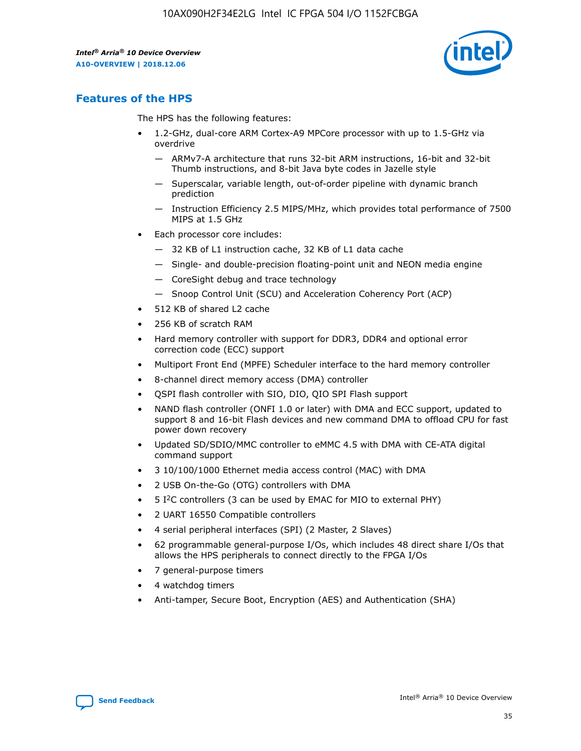

# **Features of the HPS**

The HPS has the following features:

- 1.2-GHz, dual-core ARM Cortex-A9 MPCore processor with up to 1.5-GHz via overdrive
	- ARMv7-A architecture that runs 32-bit ARM instructions, 16-bit and 32-bit Thumb instructions, and 8-bit Java byte codes in Jazelle style
	- Superscalar, variable length, out-of-order pipeline with dynamic branch prediction
	- Instruction Efficiency 2.5 MIPS/MHz, which provides total performance of 7500 MIPS at 1.5 GHz
- Each processor core includes:
	- 32 KB of L1 instruction cache, 32 KB of L1 data cache
	- Single- and double-precision floating-point unit and NEON media engine
	- CoreSight debug and trace technology
	- Snoop Control Unit (SCU) and Acceleration Coherency Port (ACP)
- 512 KB of shared L2 cache
- 256 KB of scratch RAM
- Hard memory controller with support for DDR3, DDR4 and optional error correction code (ECC) support
- Multiport Front End (MPFE) Scheduler interface to the hard memory controller
- 8-channel direct memory access (DMA) controller
- QSPI flash controller with SIO, DIO, QIO SPI Flash support
- NAND flash controller (ONFI 1.0 or later) with DMA and ECC support, updated to support 8 and 16-bit Flash devices and new command DMA to offload CPU for fast power down recovery
- Updated SD/SDIO/MMC controller to eMMC 4.5 with DMA with CE-ATA digital command support
- 3 10/100/1000 Ethernet media access control (MAC) with DMA
- 2 USB On-the-Go (OTG) controllers with DMA
- $\bullet$  5 I<sup>2</sup>C controllers (3 can be used by EMAC for MIO to external PHY)
- 2 UART 16550 Compatible controllers
- 4 serial peripheral interfaces (SPI) (2 Master, 2 Slaves)
- 62 programmable general-purpose I/Os, which includes 48 direct share I/Os that allows the HPS peripherals to connect directly to the FPGA I/Os
- 7 general-purpose timers
- 4 watchdog timers
- Anti-tamper, Secure Boot, Encryption (AES) and Authentication (SHA)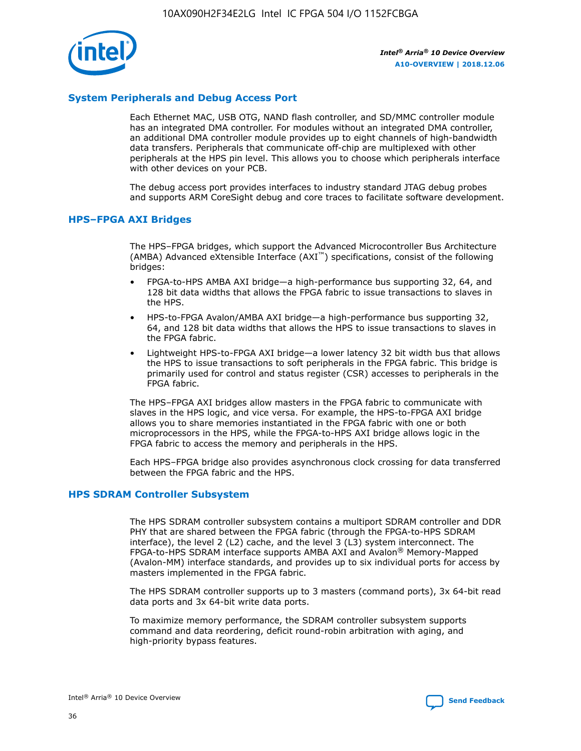

# **System Peripherals and Debug Access Port**

Each Ethernet MAC, USB OTG, NAND flash controller, and SD/MMC controller module has an integrated DMA controller. For modules without an integrated DMA controller, an additional DMA controller module provides up to eight channels of high-bandwidth data transfers. Peripherals that communicate off-chip are multiplexed with other peripherals at the HPS pin level. This allows you to choose which peripherals interface with other devices on your PCB.

The debug access port provides interfaces to industry standard JTAG debug probes and supports ARM CoreSight debug and core traces to facilitate software development.

## **HPS–FPGA AXI Bridges**

The HPS–FPGA bridges, which support the Advanced Microcontroller Bus Architecture (AMBA) Advanced eXtensible Interface (AXI™) specifications, consist of the following bridges:

- FPGA-to-HPS AMBA AXI bridge—a high-performance bus supporting 32, 64, and 128 bit data widths that allows the FPGA fabric to issue transactions to slaves in the HPS.
- HPS-to-FPGA Avalon/AMBA AXI bridge—a high-performance bus supporting 32, 64, and 128 bit data widths that allows the HPS to issue transactions to slaves in the FPGA fabric.
- Lightweight HPS-to-FPGA AXI bridge—a lower latency 32 bit width bus that allows the HPS to issue transactions to soft peripherals in the FPGA fabric. This bridge is primarily used for control and status register (CSR) accesses to peripherals in the FPGA fabric.

The HPS–FPGA AXI bridges allow masters in the FPGA fabric to communicate with slaves in the HPS logic, and vice versa. For example, the HPS-to-FPGA AXI bridge allows you to share memories instantiated in the FPGA fabric with one or both microprocessors in the HPS, while the FPGA-to-HPS AXI bridge allows logic in the FPGA fabric to access the memory and peripherals in the HPS.

Each HPS–FPGA bridge also provides asynchronous clock crossing for data transferred between the FPGA fabric and the HPS.

#### **HPS SDRAM Controller Subsystem**

The HPS SDRAM controller subsystem contains a multiport SDRAM controller and DDR PHY that are shared between the FPGA fabric (through the FPGA-to-HPS SDRAM interface), the level 2 (L2) cache, and the level 3 (L3) system interconnect. The FPGA-to-HPS SDRAM interface supports AMBA AXI and Avalon® Memory-Mapped (Avalon-MM) interface standards, and provides up to six individual ports for access by masters implemented in the FPGA fabric.

The HPS SDRAM controller supports up to 3 masters (command ports), 3x 64-bit read data ports and 3x 64-bit write data ports.

To maximize memory performance, the SDRAM controller subsystem supports command and data reordering, deficit round-robin arbitration with aging, and high-priority bypass features.

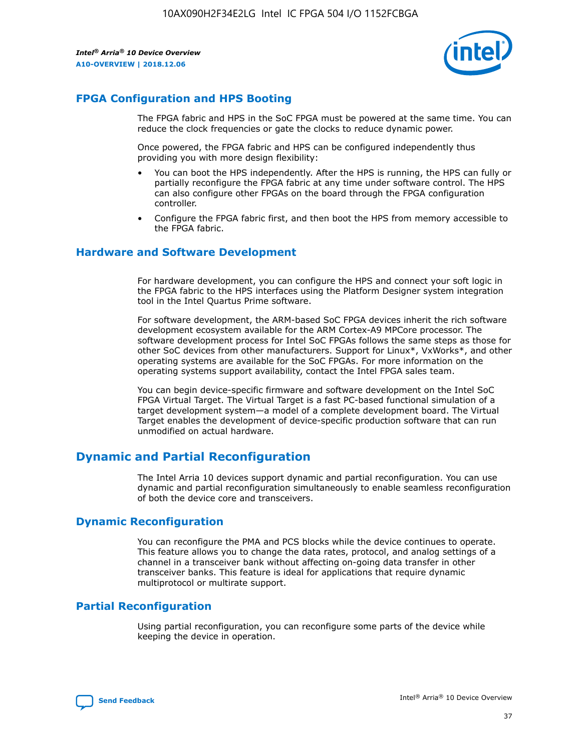

# **FPGA Configuration and HPS Booting**

The FPGA fabric and HPS in the SoC FPGA must be powered at the same time. You can reduce the clock frequencies or gate the clocks to reduce dynamic power.

Once powered, the FPGA fabric and HPS can be configured independently thus providing you with more design flexibility:

- You can boot the HPS independently. After the HPS is running, the HPS can fully or partially reconfigure the FPGA fabric at any time under software control. The HPS can also configure other FPGAs on the board through the FPGA configuration controller.
- Configure the FPGA fabric first, and then boot the HPS from memory accessible to the FPGA fabric.

## **Hardware and Software Development**

For hardware development, you can configure the HPS and connect your soft logic in the FPGA fabric to the HPS interfaces using the Platform Designer system integration tool in the Intel Quartus Prime software.

For software development, the ARM-based SoC FPGA devices inherit the rich software development ecosystem available for the ARM Cortex-A9 MPCore processor. The software development process for Intel SoC FPGAs follows the same steps as those for other SoC devices from other manufacturers. Support for Linux\*, VxWorks\*, and other operating systems are available for the SoC FPGAs. For more information on the operating systems support availability, contact the Intel FPGA sales team.

You can begin device-specific firmware and software development on the Intel SoC FPGA Virtual Target. The Virtual Target is a fast PC-based functional simulation of a target development system—a model of a complete development board. The Virtual Target enables the development of device-specific production software that can run unmodified on actual hardware.

# **Dynamic and Partial Reconfiguration**

The Intel Arria 10 devices support dynamic and partial reconfiguration. You can use dynamic and partial reconfiguration simultaneously to enable seamless reconfiguration of both the device core and transceivers.

# **Dynamic Reconfiguration**

You can reconfigure the PMA and PCS blocks while the device continues to operate. This feature allows you to change the data rates, protocol, and analog settings of a channel in a transceiver bank without affecting on-going data transfer in other transceiver banks. This feature is ideal for applications that require dynamic multiprotocol or multirate support.

# **Partial Reconfiguration**

Using partial reconfiguration, you can reconfigure some parts of the device while keeping the device in operation.

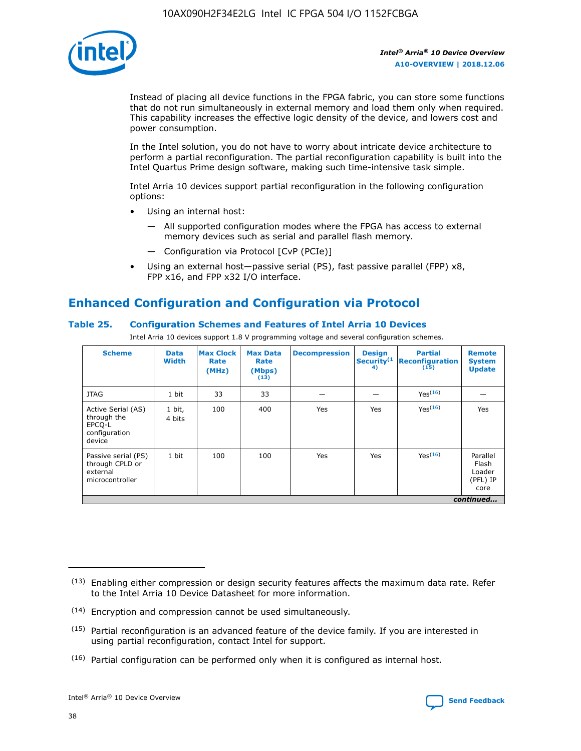

Instead of placing all device functions in the FPGA fabric, you can store some functions that do not run simultaneously in external memory and load them only when required. This capability increases the effective logic density of the device, and lowers cost and power consumption.

In the Intel solution, you do not have to worry about intricate device architecture to perform a partial reconfiguration. The partial reconfiguration capability is built into the Intel Quartus Prime design software, making such time-intensive task simple.

Intel Arria 10 devices support partial reconfiguration in the following configuration options:

- Using an internal host:
	- All supported configuration modes where the FPGA has access to external memory devices such as serial and parallel flash memory.
	- Configuration via Protocol [CvP (PCIe)]
- Using an external host—passive serial (PS), fast passive parallel (FPP) x8, FPP x16, and FPP x32 I/O interface.

# **Enhanced Configuration and Configuration via Protocol**

# **Table 25. Configuration Schemes and Features of Intel Arria 10 Devices**

Intel Arria 10 devices support 1.8 V programming voltage and several configuration schemes.

| <b>Scheme</b>                                                          | <b>Data</b><br><b>Width</b> | <b>Max Clock</b><br>Rate<br>(MHz) | <b>Max Data</b><br>Rate<br>(Mbps)<br>(13) | <b>Decompression</b> | <b>Design</b><br>Security <sup>(1</sup><br>4) | <b>Partial</b><br><b>Reconfiguration</b><br>(15) | <b>Remote</b><br><b>System</b><br><b>Update</b> |
|------------------------------------------------------------------------|-----------------------------|-----------------------------------|-------------------------------------------|----------------------|-----------------------------------------------|--------------------------------------------------|-------------------------------------------------|
| <b>JTAG</b>                                                            | 1 bit                       | 33                                | 33                                        |                      |                                               | Yes(16)                                          |                                                 |
| Active Serial (AS)<br>through the<br>EPCO-L<br>configuration<br>device | 1 bit,<br>4 bits            | 100                               | 400                                       | Yes                  | Yes                                           | $Y_{PS}(16)$                                     | Yes                                             |
| Passive serial (PS)<br>through CPLD or<br>external<br>microcontroller  | 1 bit                       | 100                               | 100                                       | Yes                  | Yes                                           | Yes(16)                                          | Parallel<br>Flash<br>Loader<br>(PFL) IP<br>core |
|                                                                        |                             |                                   |                                           |                      |                                               |                                                  | continued                                       |

<sup>(13)</sup> Enabling either compression or design security features affects the maximum data rate. Refer to the Intel Arria 10 Device Datasheet for more information.

<sup>(14)</sup> Encryption and compression cannot be used simultaneously.

 $<sup>(15)</sup>$  Partial reconfiguration is an advanced feature of the device family. If you are interested in</sup> using partial reconfiguration, contact Intel for support.

 $(16)$  Partial configuration can be performed only when it is configured as internal host.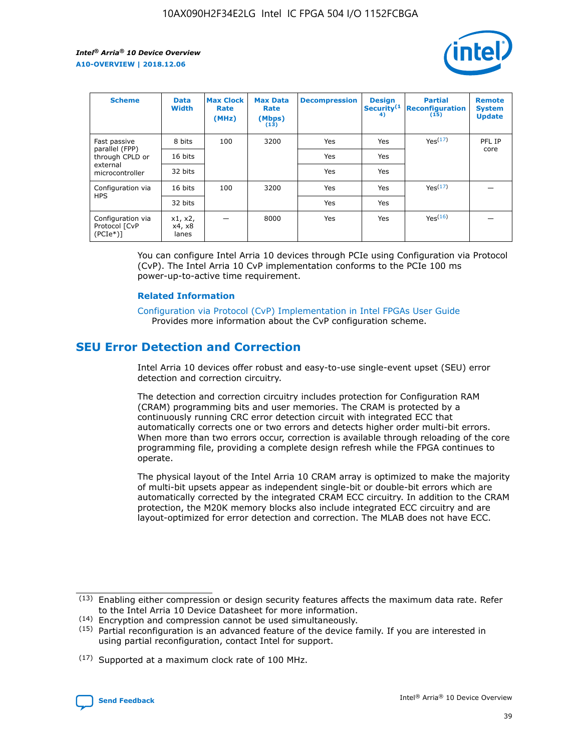

| <b>Scheme</b>                                   | <b>Data</b><br><b>Width</b> | <b>Max Clock</b><br>Rate<br>(MHz) | <b>Max Data</b><br>Rate<br>(Mbps)<br>(13) | <b>Decompression</b> | <b>Design</b><br>Security <sup>(1</sup><br>4) | <b>Partial</b><br><b>Reconfiguration</b><br>(15) | <b>Remote</b><br><b>System</b><br><b>Update</b> |
|-------------------------------------------------|-----------------------------|-----------------------------------|-------------------------------------------|----------------------|-----------------------------------------------|--------------------------------------------------|-------------------------------------------------|
| Fast passive                                    | 8 bits                      | 100                               | 3200                                      | <b>Yes</b>           | Yes                                           | Yes(17)                                          | PFL IP                                          |
| parallel (FPP)<br>through CPLD or               | 16 bits                     |                                   |                                           | Yes                  | Yes                                           |                                                  | core                                            |
| external<br>microcontroller                     | 32 bits                     |                                   |                                           | Yes                  | Yes                                           |                                                  |                                                 |
| Configuration via                               | 16 bits                     | 100                               | 3200                                      | Yes                  | Yes                                           | Yes <sup>(17)</sup>                              |                                                 |
| <b>HPS</b>                                      | 32 bits                     |                                   |                                           | Yes                  | Yes                                           |                                                  |                                                 |
| Configuration via<br>Protocol [CvP<br>$(PCIe*)$ | x1, x2,<br>x4, x8<br>lanes  |                                   | 8000                                      | Yes                  | Yes                                           | Yes <sup>(16)</sup>                              |                                                 |

You can configure Intel Arria 10 devices through PCIe using Configuration via Protocol (CvP). The Intel Arria 10 CvP implementation conforms to the PCIe 100 ms power-up-to-active time requirement.

#### **Related Information**

[Configuration via Protocol \(CvP\) Implementation in Intel FPGAs User Guide](https://www.intel.com/content/www/us/en/programmable/documentation/dsu1441819344145.html#dsu1442269728522) Provides more information about the CvP configuration scheme.

# **SEU Error Detection and Correction**

Intel Arria 10 devices offer robust and easy-to-use single-event upset (SEU) error detection and correction circuitry.

The detection and correction circuitry includes protection for Configuration RAM (CRAM) programming bits and user memories. The CRAM is protected by a continuously running CRC error detection circuit with integrated ECC that automatically corrects one or two errors and detects higher order multi-bit errors. When more than two errors occur, correction is available through reloading of the core programming file, providing a complete design refresh while the FPGA continues to operate.

The physical layout of the Intel Arria 10 CRAM array is optimized to make the majority of multi-bit upsets appear as independent single-bit or double-bit errors which are automatically corrected by the integrated CRAM ECC circuitry. In addition to the CRAM protection, the M20K memory blocks also include integrated ECC circuitry and are layout-optimized for error detection and correction. The MLAB does not have ECC.

(14) Encryption and compression cannot be used simultaneously.

<sup>(17)</sup> Supported at a maximum clock rate of 100 MHz.



 $(13)$  Enabling either compression or design security features affects the maximum data rate. Refer to the Intel Arria 10 Device Datasheet for more information.

 $(15)$  Partial reconfiguration is an advanced feature of the device family. If you are interested in using partial reconfiguration, contact Intel for support.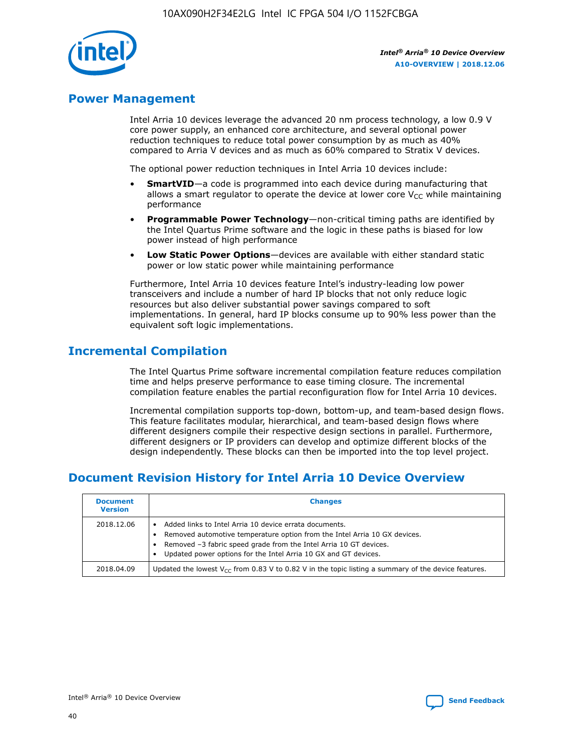

# **Power Management**

Intel Arria 10 devices leverage the advanced 20 nm process technology, a low 0.9 V core power supply, an enhanced core architecture, and several optional power reduction techniques to reduce total power consumption by as much as 40% compared to Arria V devices and as much as 60% compared to Stratix V devices.

The optional power reduction techniques in Intel Arria 10 devices include:

- **SmartVID**—a code is programmed into each device during manufacturing that allows a smart regulator to operate the device at lower core  $V_{CC}$  while maintaining performance
- **Programmable Power Technology**—non-critical timing paths are identified by the Intel Quartus Prime software and the logic in these paths is biased for low power instead of high performance
- **Low Static Power Options**—devices are available with either standard static power or low static power while maintaining performance

Furthermore, Intel Arria 10 devices feature Intel's industry-leading low power transceivers and include a number of hard IP blocks that not only reduce logic resources but also deliver substantial power savings compared to soft implementations. In general, hard IP blocks consume up to 90% less power than the equivalent soft logic implementations.

# **Incremental Compilation**

The Intel Quartus Prime software incremental compilation feature reduces compilation time and helps preserve performance to ease timing closure. The incremental compilation feature enables the partial reconfiguration flow for Intel Arria 10 devices.

Incremental compilation supports top-down, bottom-up, and team-based design flows. This feature facilitates modular, hierarchical, and team-based design flows where different designers compile their respective design sections in parallel. Furthermore, different designers or IP providers can develop and optimize different blocks of the design independently. These blocks can then be imported into the top level project.

# **Document Revision History for Intel Arria 10 Device Overview**

| <b>Document</b><br><b>Version</b> | <b>Changes</b>                                                                                                                                                                                                                                                              |
|-----------------------------------|-----------------------------------------------------------------------------------------------------------------------------------------------------------------------------------------------------------------------------------------------------------------------------|
| 2018.12.06                        | Added links to Intel Arria 10 device errata documents.<br>Removed automotive temperature option from the Intel Arria 10 GX devices.<br>Removed -3 fabric speed grade from the Intel Arria 10 GT devices.<br>Updated power options for the Intel Arria 10 GX and GT devices. |
| 2018.04.09                        | Updated the lowest $V_{CC}$ from 0.83 V to 0.82 V in the topic listing a summary of the device features.                                                                                                                                                                    |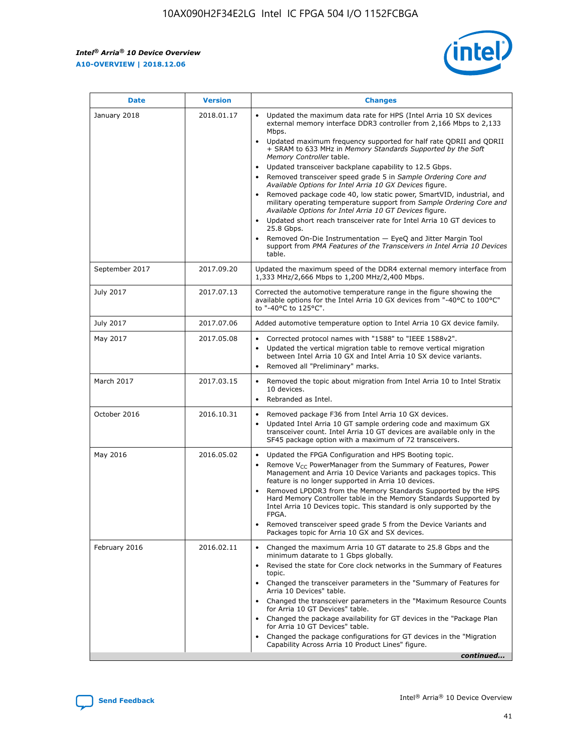*Intel® Arria® 10 Device Overview* **A10-OVERVIEW | 2018.12.06**



| <b>Date</b>    | <b>Version</b> | <b>Changes</b>                                                                                                                                                                                                                                                                                                                                                                                                                                                                                                                                                                                                                                                                                                                                                                                                                                                                                                                                                            |
|----------------|----------------|---------------------------------------------------------------------------------------------------------------------------------------------------------------------------------------------------------------------------------------------------------------------------------------------------------------------------------------------------------------------------------------------------------------------------------------------------------------------------------------------------------------------------------------------------------------------------------------------------------------------------------------------------------------------------------------------------------------------------------------------------------------------------------------------------------------------------------------------------------------------------------------------------------------------------------------------------------------------------|
| January 2018   | 2018.01.17     | Updated the maximum data rate for HPS (Intel Arria 10 SX devices<br>external memory interface DDR3 controller from 2,166 Mbps to 2,133<br>Mbps.<br>Updated maximum frequency supported for half rate QDRII and QDRII<br>+ SRAM to 633 MHz in Memory Standards Supported by the Soft<br>Memory Controller table.<br>Updated transceiver backplane capability to 12.5 Gbps.<br>$\bullet$<br>Removed transceiver speed grade 5 in Sample Ordering Core and<br>Available Options for Intel Arria 10 GX Devices figure.<br>Removed package code 40, low static power, SmartVID, industrial, and<br>military operating temperature support from Sample Ordering Core and<br>Available Options for Intel Arria 10 GT Devices figure.<br>Updated short reach transceiver rate for Intel Arria 10 GT devices to<br>25.8 Gbps.<br>Removed On-Die Instrumentation - EyeQ and Jitter Margin Tool<br>support from PMA Features of the Transceivers in Intel Arria 10 Devices<br>table. |
| September 2017 | 2017.09.20     | Updated the maximum speed of the DDR4 external memory interface from<br>1,333 MHz/2,666 Mbps to 1,200 MHz/2,400 Mbps.                                                                                                                                                                                                                                                                                                                                                                                                                                                                                                                                                                                                                                                                                                                                                                                                                                                     |
| July 2017      | 2017.07.13     | Corrected the automotive temperature range in the figure showing the<br>available options for the Intel Arria 10 GX devices from "-40°C to 100°C"<br>to "-40°C to 125°C".                                                                                                                                                                                                                                                                                                                                                                                                                                                                                                                                                                                                                                                                                                                                                                                                 |
| July 2017      | 2017.07.06     | Added automotive temperature option to Intel Arria 10 GX device family.                                                                                                                                                                                                                                                                                                                                                                                                                                                                                                                                                                                                                                                                                                                                                                                                                                                                                                   |
| May 2017       | 2017.05.08     | Corrected protocol names with "1588" to "IEEE 1588v2".<br>$\bullet$<br>Updated the vertical migration table to remove vertical migration<br>$\bullet$<br>between Intel Arria 10 GX and Intel Arria 10 SX device variants.<br>Removed all "Preliminary" marks.<br>$\bullet$                                                                                                                                                                                                                                                                                                                                                                                                                                                                                                                                                                                                                                                                                                |
| March 2017     | 2017.03.15     | Removed the topic about migration from Intel Arria 10 to Intel Stratix<br>10 devices.<br>Rebranded as Intel.<br>$\bullet$                                                                                                                                                                                                                                                                                                                                                                                                                                                                                                                                                                                                                                                                                                                                                                                                                                                 |
| October 2016   | 2016.10.31     | Removed package F36 from Intel Arria 10 GX devices.<br>Updated Intel Arria 10 GT sample ordering code and maximum GX<br>$\bullet$<br>transceiver count. Intel Arria 10 GT devices are available only in the<br>SF45 package option with a maximum of 72 transceivers.                                                                                                                                                                                                                                                                                                                                                                                                                                                                                                                                                                                                                                                                                                     |
| May 2016       | 2016.05.02     | Updated the FPGA Configuration and HPS Booting topic.<br>$\bullet$<br>Remove V <sub>CC</sub> PowerManager from the Summary of Features, Power<br>Management and Arria 10 Device Variants and packages topics. This<br>feature is no longer supported in Arria 10 devices.<br>Removed LPDDR3 from the Memory Standards Supported by the HPS<br>Hard Memory Controller table in the Memory Standards Supported by<br>Intel Arria 10 Devices topic. This standard is only supported by the<br>FPGA.<br>Removed transceiver speed grade 5 from the Device Variants and<br>Packages topic for Arria 10 GX and SX devices.                                                                                                                                                                                                                                                                                                                                                      |
| February 2016  | 2016.02.11     | Changed the maximum Arria 10 GT datarate to 25.8 Gbps and the<br>minimum datarate to 1 Gbps globally.<br>Revised the state for Core clock networks in the Summary of Features<br>$\bullet$<br>topic.<br>Changed the transceiver parameters in the "Summary of Features for<br>$\bullet$<br>Arria 10 Devices" table.<br>• Changed the transceiver parameters in the "Maximum Resource Counts<br>for Arria 10 GT Devices" table.<br>Changed the package availability for GT devices in the "Package Plan<br>for Arria 10 GT Devices" table.<br>Changed the package configurations for GT devices in the "Migration"<br>Capability Across Arria 10 Product Lines" figure.<br>continued                                                                                                                                                                                                                                                                                       |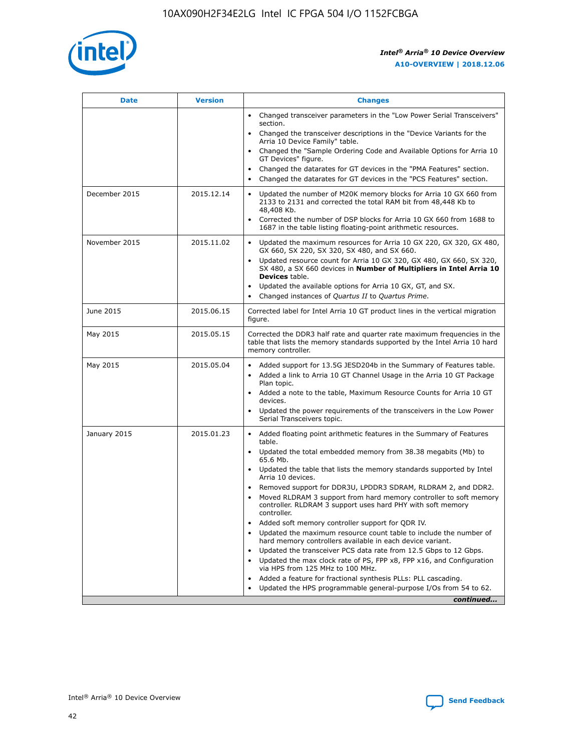

| <b>Date</b>   | <b>Version</b> | <b>Changes</b>                                                                                                                                                               |
|---------------|----------------|------------------------------------------------------------------------------------------------------------------------------------------------------------------------------|
|               |                | • Changed transceiver parameters in the "Low Power Serial Transceivers"<br>section.                                                                                          |
|               |                | • Changed the transceiver descriptions in the "Device Variants for the<br>Arria 10 Device Family" table.                                                                     |
|               |                | Changed the "Sample Ordering Code and Available Options for Arria 10<br>$\bullet$<br>GT Devices" figure.                                                                     |
|               |                | Changed the datarates for GT devices in the "PMA Features" section.                                                                                                          |
|               |                | Changed the datarates for GT devices in the "PCS Features" section.<br>$\bullet$                                                                                             |
| December 2015 | 2015.12.14     | Updated the number of M20K memory blocks for Arria 10 GX 660 from<br>2133 to 2131 and corrected the total RAM bit from 48,448 Kb to<br>48,408 Kb.                            |
|               |                | Corrected the number of DSP blocks for Arria 10 GX 660 from 1688 to<br>1687 in the table listing floating-point arithmetic resources.                                        |
| November 2015 | 2015.11.02     | Updated the maximum resources for Arria 10 GX 220, GX 320, GX 480,<br>$\bullet$<br>GX 660, SX 220, SX 320, SX 480, and SX 660.                                               |
|               |                | • Updated resource count for Arria 10 GX 320, GX 480, GX 660, SX 320,<br>SX 480, a SX 660 devices in Number of Multipliers in Intel Arria 10<br><b>Devices</b> table.        |
|               |                | Updated the available options for Arria 10 GX, GT, and SX.                                                                                                                   |
|               |                | Changed instances of Quartus II to Quartus Prime.<br>$\bullet$                                                                                                               |
| June 2015     | 2015.06.15     | Corrected label for Intel Arria 10 GT product lines in the vertical migration<br>figure.                                                                                     |
| May 2015      | 2015.05.15     | Corrected the DDR3 half rate and quarter rate maximum frequencies in the<br>table that lists the memory standards supported by the Intel Arria 10 hard<br>memory controller. |
| May 2015      | 2015.05.04     | • Added support for 13.5G JESD204b in the Summary of Features table.<br>• Added a link to Arria 10 GT Channel Usage in the Arria 10 GT Package<br>Plan topic.                |
|               |                | • Added a note to the table, Maximum Resource Counts for Arria 10 GT<br>devices.                                                                                             |
|               |                | • Updated the power requirements of the transceivers in the Low Power<br>Serial Transceivers topic.                                                                          |
| January 2015  | 2015.01.23     | • Added floating point arithmetic features in the Summary of Features<br>table.                                                                                              |
|               |                | • Updated the total embedded memory from 38.38 megabits (Mb) to<br>65.6 Mb.                                                                                                  |
|               |                | • Updated the table that lists the memory standards supported by Intel<br>Arria 10 devices.                                                                                  |
|               |                | Removed support for DDR3U, LPDDR3 SDRAM, RLDRAM 2, and DDR2.                                                                                                                 |
|               |                | Moved RLDRAM 3 support from hard memory controller to soft memory<br>controller. RLDRAM 3 support uses hard PHY with soft memory<br>controller.                              |
|               |                | Added soft memory controller support for QDR IV.<br>٠                                                                                                                        |
|               |                | Updated the maximum resource count table to include the number of<br>hard memory controllers available in each device variant.                                               |
|               |                | Updated the transceiver PCS data rate from 12.5 Gbps to 12 Gbps.<br>$\bullet$                                                                                                |
|               |                | Updated the max clock rate of PS, FPP x8, FPP x16, and Configuration<br>via HPS from 125 MHz to 100 MHz.                                                                     |
|               |                | Added a feature for fractional synthesis PLLs: PLL cascading.                                                                                                                |
|               |                | Updated the HPS programmable general-purpose I/Os from 54 to 62.<br>$\bullet$<br>continued                                                                                   |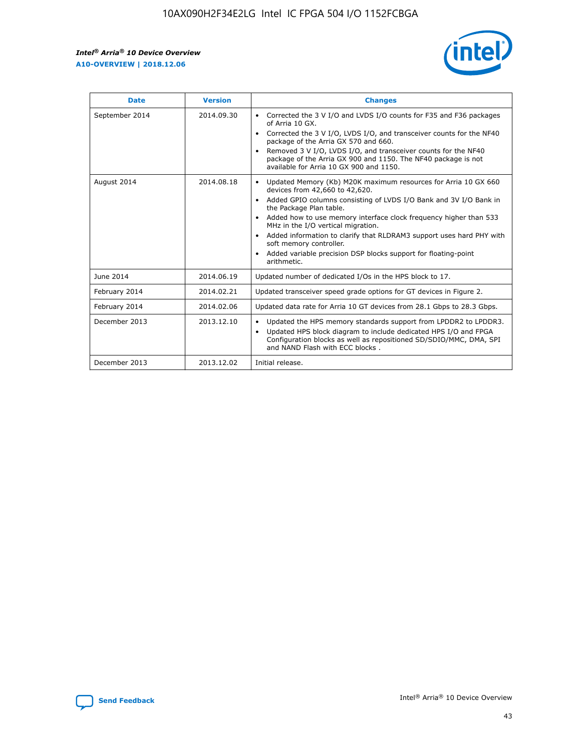r



| <b>Date</b>    | <b>Version</b> | <b>Changes</b>                                                                                                                                                                                                                                                                                                                                                                                                                                                                                                                                      |
|----------------|----------------|-----------------------------------------------------------------------------------------------------------------------------------------------------------------------------------------------------------------------------------------------------------------------------------------------------------------------------------------------------------------------------------------------------------------------------------------------------------------------------------------------------------------------------------------------------|
| September 2014 | 2014.09.30     | Corrected the 3 V I/O and LVDS I/O counts for F35 and F36 packages<br>$\bullet$<br>of Arria 10 GX.<br>Corrected the 3 V I/O, LVDS I/O, and transceiver counts for the NF40<br>$\bullet$<br>package of the Arria GX 570 and 660.<br>Removed 3 V I/O, LVDS I/O, and transceiver counts for the NF40<br>$\bullet$<br>package of the Arria GX 900 and 1150. The NF40 package is not<br>available for Arria 10 GX 900 and 1150.                                                                                                                          |
| August 2014    | 2014.08.18     | Updated Memory (Kb) M20K maximum resources for Arria 10 GX 660<br>devices from 42,660 to 42,620.<br>Added GPIO columns consisting of LVDS I/O Bank and 3V I/O Bank in<br>$\bullet$<br>the Package Plan table.<br>Added how to use memory interface clock frequency higher than 533<br>$\bullet$<br>MHz in the I/O vertical migration.<br>Added information to clarify that RLDRAM3 support uses hard PHY with<br>$\bullet$<br>soft memory controller.<br>Added variable precision DSP blocks support for floating-point<br>$\bullet$<br>arithmetic. |
| June 2014      | 2014.06.19     | Updated number of dedicated I/Os in the HPS block to 17.                                                                                                                                                                                                                                                                                                                                                                                                                                                                                            |
| February 2014  | 2014.02.21     | Updated transceiver speed grade options for GT devices in Figure 2.                                                                                                                                                                                                                                                                                                                                                                                                                                                                                 |
| February 2014  | 2014.02.06     | Updated data rate for Arria 10 GT devices from 28.1 Gbps to 28.3 Gbps.                                                                                                                                                                                                                                                                                                                                                                                                                                                                              |
| December 2013  | 2013.12.10     | Updated the HPS memory standards support from LPDDR2 to LPDDR3.<br>Updated HPS block diagram to include dedicated HPS I/O and FPGA<br>$\bullet$<br>Configuration blocks as well as repositioned SD/SDIO/MMC, DMA, SPI<br>and NAND Flash with ECC blocks.                                                                                                                                                                                                                                                                                            |
| December 2013  | 2013.12.02     | Initial release.                                                                                                                                                                                                                                                                                                                                                                                                                                                                                                                                    |